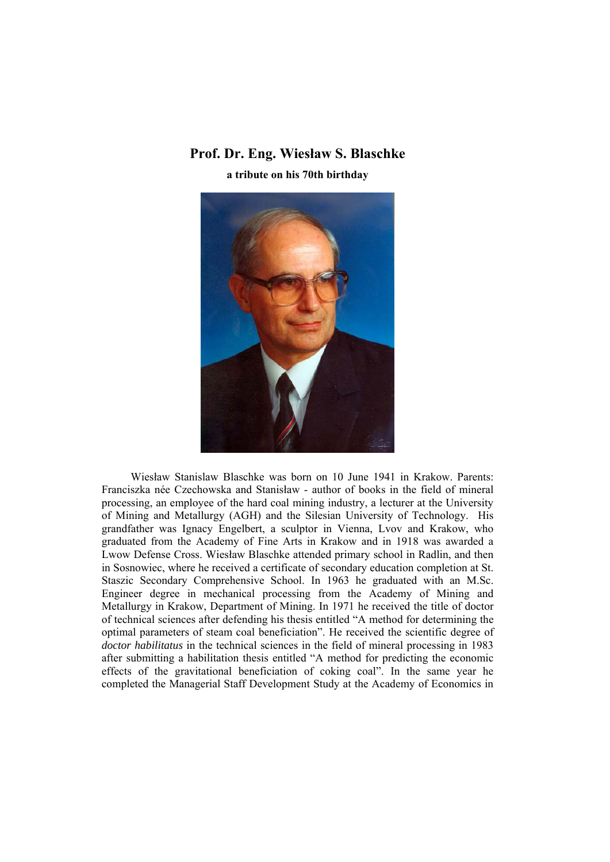## **Prof. Dr. Eng. Wiesław S. Blaschke a tribute on his 70th birthday**



Wiesław Stanislaw Blaschke was born on 10 June 1941 in Krakow. Parents: Franciszka née Czechowska and Stanisław - author of books in the field of mineral processing, an employee of the hard coal mining industry, a lecturer at the University of Mining and Metallurgy (AGH) and the Silesian University of Technology. His grandfather was Ignacy Engelbert, a sculptor in Vienna, Lvov and Krakow, who graduated from the Academy of Fine Arts in Krakow and in 1918 was awarded a Lwow Defense Cross. Wiesław Blaschke attended primary school in Radlin, and then in Sosnowiec, where he received a certificate of secondary education completion at St. Staszic Secondary Comprehensive School. In 1963 he graduated with an M.Sc. Engineer degree in mechanical processing from the Academy of Mining and Metallurgy in Krakow, Department of Mining. In 1971 he received the title of doctor of technical sciences after defending his thesis entitled "A method for determining the optimal parameters of steam coal beneficiation". He received the scientific degree of *doctor habilitatus* in the technical sciences in the field of mineral processing in 1983 after submitting a habilitation thesis entitled "A method for predicting the economic effects of the gravitational beneficiation of coking coal". In the same year he completed the Managerial Staff Development Study at the Academy of Economics in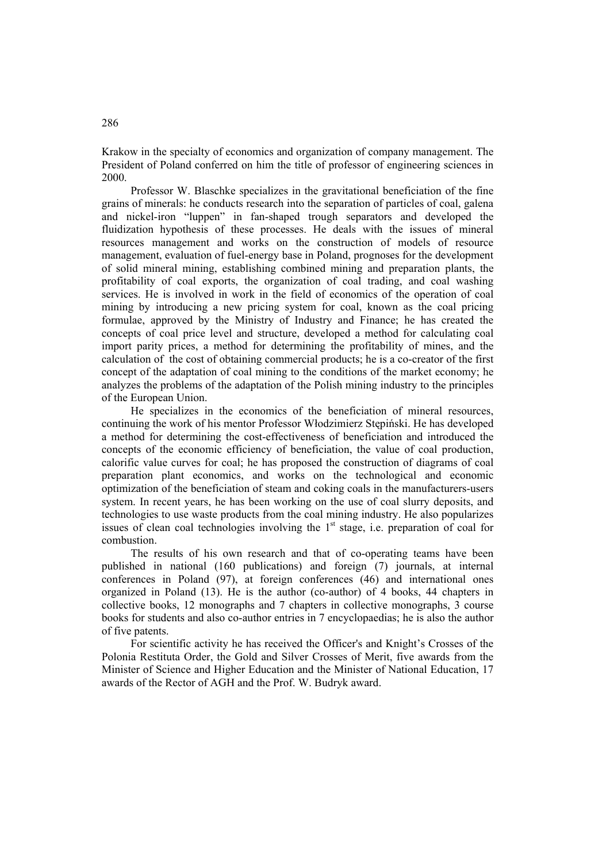Krakow in the specialty of economics and organization of company management. The President of Poland conferred on him the title of professor of engineering sciences in 2000.

Professor W. Blaschke specializes in the gravitational beneficiation of the fine grains of minerals: he conducts research into the separation of particles of coal, galena and nickel-iron "luppen" in fan-shaped trough separators and developed the fluidization hypothesis of these processes. He deals with the issues of mineral resources management and works on the construction of models of resource management, evaluation of fuel-energy base in Poland, prognoses for the development of solid mineral mining, establishing combined mining and preparation plants, the profitability of coal exports, the organization of coal trading, and coal washing services. He is involved in work in the field of economics of the operation of coal mining by introducing a new pricing system for coal, known as the coal pricing formulae, approved by the Ministry of Industry and Finance; he has created the concepts of coal price level and structure, developed a method for calculating coal import parity prices, a method for determining the profitability of mines, and the calculation of the cost of obtaining commercial products; he is a co-creator of the first concept of the adaptation of coal mining to the conditions of the market economy; he analyzes the problems of the adaptation of the Polish mining industry to the principles of the European Union.

He specializes in the economics of the beneficiation of mineral resources, continuing the work of his mentor Professor Włodzimierz Stępiński. He has developed a method for determining the cost-effectiveness of beneficiation and introduced the concepts of the economic efficiency of beneficiation, the value of coal production, calorific value curves for coal; he has proposed the construction of diagrams of coal preparation plant economics, and works on the technological and economic optimization of the beneficiation of steam and coking coals in the manufacturers-users system. In recent years, he has been working on the use of coal slurry deposits, and technologies to use waste products from the coal mining industry. He also popularizes issues of clean coal technologies involving the  $1<sup>st</sup>$  stage, i.e. preparation of coal for combustion.

The results of his own research and that of co-operating teams have been published in national (160 publications) and foreign (7) journals, at internal conferences in Poland (97), at foreign conferences (46) and international ones organized in Poland (13). He is the author (co-author) of 4 books, 44 chapters in collective books, 12 monographs and 7 chapters in collective monographs, 3 course books for students and also co-author entries in 7 encyclopaedias; he is also the author of five patents.

For scientific activity he has received the Officer's and Knight's Crosses of the Polonia Restituta Order, the Gold and Silver Crosses of Merit, five awards from the Minister of Science and Higher Education and the Minister of National Education, 17 awards of the Rector of AGH and the Prof. W. Budryk award.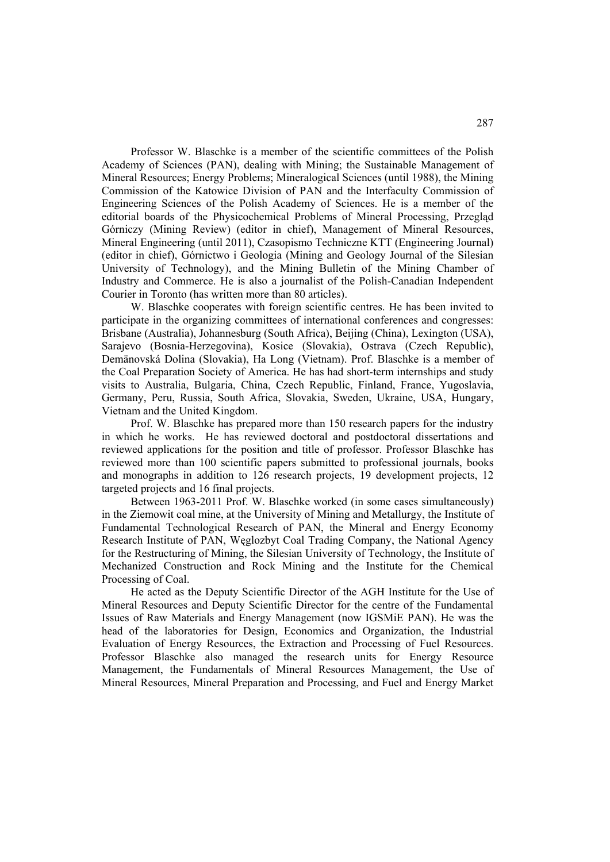Professor W. Blaschke is a member of the scientific committees of the Polish Academy of Sciences (PAN), dealing with Mining; the Sustainable Management of Mineral Resources; Energy Problems; Mineralogical Sciences (until 1988), the Mining Commission of the Katowice Division of PAN and the Interfaculty Commission of Engineering Sciences of the Polish Academy of Sciences. He is a member of the editorial boards of the Physicochemical Problems of Mineral Processing, Przegląd Górniczy (Mining Review) (editor in chief), Management of Mineral Resources, Mineral Engineering (until 2011), Czasopismo Techniczne KTT (Engineering Journal) (editor in chief), Górnictwo i Geologia (Mining and Geology Journal of the Silesian University of Technology), and the Mining Bulletin of the Mining Chamber of Industry and Commerce. He is also a journalist of the Polish-Canadian Independent Courier in Toronto (has written more than 80 articles).

W. Blaschke cooperates with foreign scientific centres. He has been invited to participate in the organizing committees of international conferences and congresses: Brisbane (Australia), Johannesburg (South Africa), Beijing (China), Lexington (USA), Sarajevo (Bosnia-Herzegovina), Kosice (Slovakia), Ostrava (Czech Republic), Demänovská Dolina (Slovakia), Ha Long (Vietnam). Prof. Blaschke is a member of the Coal Preparation Society of America. He has had short-term internships and study visits to Australia, Bulgaria, China, Czech Republic, Finland, France, Yugoslavia, Germany, Peru, Russia, South Africa, Slovakia, Sweden, Ukraine, USA, Hungary, Vietnam and the United Kingdom.

Prof. W. Blaschke has prepared more than 150 research papers for the industry in which he works. He has reviewed doctoral and postdoctoral dissertations and reviewed applications for the position and title of professor. Professor Blaschke has reviewed more than 100 scientific papers submitted to professional journals, books and monographs in addition to 126 research projects, 19 development projects, 12 targeted projects and 16 final projects.

Between 1963-2011 Prof. W. Blaschke worked (in some cases simultaneously) in the Ziemowit coal mine, at the University of Mining and Metallurgy, the Institute of Fundamental Technological Research of PAN, the Mineral and Energy Economy Research Institute of PAN, Węglozbyt Coal Trading Company, the National Agency for the Restructuring of Mining, the Silesian University of Technology, the Institute of Mechanized Construction and Rock Mining and the Institute for the Chemical Processing of Coal.

He acted as the Deputy Scientific Director of the AGH Institute for the Use of Mineral Resources and Deputy Scientific Director for the centre of the Fundamental Issues of Raw Materials and Energy Management (now IGSMiE PAN). He was the head of the laboratories for Design, Economics and Organization, the Industrial Evaluation of Energy Resources, the Extraction and Processing of Fuel Resources. Professor Blaschke also managed the research units for Energy Resource Management, the Fundamentals of Mineral Resources Management, the Use of Mineral Resources, Mineral Preparation and Processing, and Fuel and Energy Market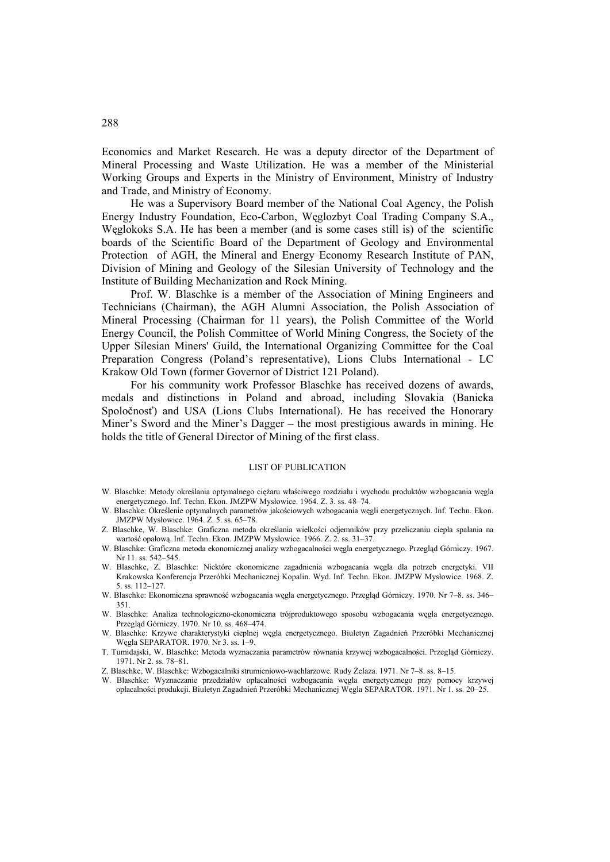Economics and Market Research. He was a deputy director of the Department of Mineral Processing and Waste Utilization. He was a member of the Ministerial Working Groups and Experts in the Ministry of Environment, Ministry of Industry and Trade, and Ministry of Economy.

He was a Supervisory Board member of the National Coal Agency, the Polish Energy Industry Foundation, Eco-Carbon, Węglozbyt Coal Trading Company S.A., Węglokoks S.A. He has been a member (and is some cases still is) of the scientific boards of the Scientific Board of the Department of Geology and Environmental Protection of AGH, the Mineral and Energy Economy Research Institute of PAN, Division of Mining and Geology of the Silesian University of Technology and the Institute of Building Mechanization and Rock Mining.

Prof. W. Blaschke is a member of the Association of Mining Engineers and Technicians (Chairman), the AGH Alumni Association, the Polish Association of Mineral Processing (Chairman for 11 years), the Polish Committee of the World Energy Council, the Polish Committee of World Mining Congress, the Society of the Upper Silesian Miners' Guild, the International Organizing Committee for the Coal Preparation Congress (Poland's representative), Lions Clubs International - LC Krakow Old Town (former Governor of District 121 Poland).

For his community work Professor Blaschke has received dozens of awards, medals and distinctions in Poland and abroad, including Slovakia (Banicka Spoločnosť) and USA (Lions Clubs International). He has received the Honorary Miner's Sword and the Miner's Dagger – the most prestigious awards in mining. He holds the title of General Director of Mining of the first class.

## LIST OF PUBLICATION

- W. Blaschke: Metody określania optymalnego ciężaru właściwego rozdziału i wychodu produktów wzbogacania węgla energetycznego. Inf. Techn. Ekon. JMZPW Mysłowice. 1964. Z. 3. ss. 48–74.
- W. Blaschke: Określenie optymalnych parametrów jakościowych wzbogacania węgli energetycznych. Inf. Techn. Ekon. JMZPW Mysłowice. 1964. Z. 5. ss. 65–78.
- Z. Blaschke, W. Blaschke: Graficzna metoda określania wielkości odjemników przy przeliczaniu ciepła spalania na wartość opałową. Inf. Techn. Ekon. JMZPW Mysłowice. 1966. Z. 2. ss. 31–37.
- W. Blaschke: Graficzna metoda ekonomicznej analizy wzbogacalności węgla energetycznego. Przegląd Górniczy. 1967. Nr 11. ss. 542–545.
- W. Blaschke, Z. Blaschke: Niektóre ekonomiczne zagadnienia wzbogacania węgla dla potrzeb energetyki. VII Krakowska Konferencja Przeróbki Mechanicznej Kopalin. Wyd. Inf. Techn. Ekon. JMZPW Mysłowice. 1968. Z. 5. ss. 112–127.
- W. Blaschke: Ekonomiczna sprawność wzbogacania węgla energetycznego. Przegląd Górniczy. 1970. Nr 7–8. ss. 346– 351.
- W. Blaschke: Analiza technologiczno-ekonomiczna trójproduktowego sposobu wzbogacania węgla energetycznego. Przegląd Górniczy. 1970. Nr 10. ss. 468–474.
- W. Blaschke: Krzywe charakterystyki cieplnej węgla energetycznego. Biuletyn Zagadnień Przeróbki Mechanicznej Węgla SEPARATOR. 1970. Nr 3. ss. 1–9.
- T. Tumidajski, W. Blaschke: Metoda wyznaczania parametrów równania krzywej wzbogacalności. Przegląd Górniczy. 1971. Nr 2. ss. 78–81.
- Z. Blaschke, W. Blaschke: Wzbogacalniki strumieniowo-wachlarzowe. Rudy Żelaza. 1971. Nr 7–8. ss. 8–15.
- W. Blaschke: Wyznaczanie przedziałów opłacalności wzbogacania węgla energetycznego przy pomocy krzywej opłacalności produkcji. Biuletyn Zagadnień Przeróbki Mechanicznej Węgla SEPARATOR. 1971. Nr 1. ss. 20–25.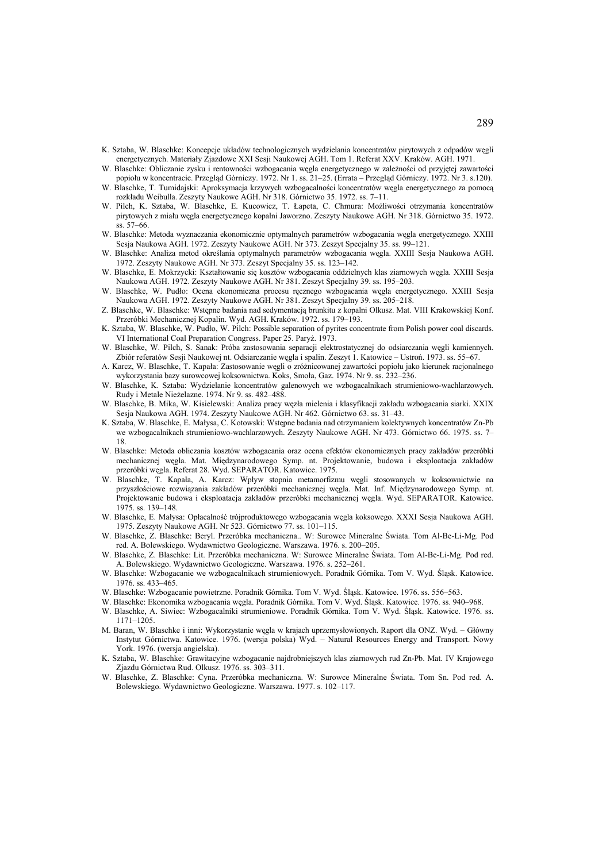- K. Sztaba, W. Blaschke: Koncepcje układów technologicznych wydzielania koncentratów pirytowych z odpadów węgli energetycznych. Materiały Zjazdowe XXI Sesji Naukowej AGH. Tom 1. Referat XXV. Kraków. AGH. 1971.
- W. Blaschke: Obliczanie zysku i rentowności wzbogacania węgla energetycznego w zależności od przyjętej zawartości popiołu w koncentracie. Przegląd Górniczy. 1972. Nr 1. ss. 21–25. (Errata – Przegląd Górniczy. 1972. Nr 3. s.120).
- W. Blaschke, T. Tumidajski: Aproksymacja krzywych wzbogacalności koncentratów węgla energetycznego za pomocą rozkładu Weibulla. Zeszyty Naukowe AGH. Nr 318. Górnictwo 35. 1972. ss. 7–11.
- W. Pilch, K. Sztaba, W. Blaschke, E. Kucowicz, T. Łapeta, C. Chmura: Możliwości otrzymania koncentratów pirytowych z miału węgla energetycznego kopalni Jaworzno. Zeszyty Naukowe AGH. Nr 318. Górnictwo 35. 1972. ss. 57–66.
- W. Blaschke: Metoda wyznaczania ekonomicznie optymalnych parametrów wzbogacania węgla energetycznego. XXIII Sesja Naukowa AGH. 1972. Zeszyty Naukowe AGH. Nr 373. Zeszyt Specjalny 35. ss. 99–121.
- W. Blaschke: Analiza metod określania optymalnych parametrów wzbogacania węgla. XXIII Sesja Naukowa AGH. 1972. Zeszyty Naukowe AGH. Nr 373. Zeszyt Specjalny 35. ss. 123–142.
- W. Blaschke, E. Mokrzycki: Kształtowanie się kosztów wzbogacania oddzielnych klas ziarnowych węgla. XXIII Sesja Naukowa AGH. 1972. Zeszyty Naukowe AGH. Nr 381. Zeszyt Specjalny 39. ss. 195–203.
- W. Blaschke, W. Pudło: Ocena ekonomiczna procesu ręcznego wzbogacania węgla energetycznego. XXIII Sesja Naukowa AGH. 1972. Zeszyty Naukowe AGH. Nr 381. Zeszyt Specjalny 39. ss. 205–218.
- Z. Blaschke, W. Blaschke: Wstępne badania nad sedymentacją brunkitu z kopalni Olkusz. Mat. VIII Krakowskiej Konf. Przeróbki Mechanicznej Kopalin. Wyd. AGH. Kraków. 1972. ss. 179–193.
- K. Sztaba, W. Blaschke, W. Pudło, W. Pilch: Possible separation of pyrites concentrate from Polish power coal discards. VI International Coal Preparation Congress. Paper 25. Paryż. 1973.
- W. Blaschke, W. Pilch, S. Sanak: Próba zastosowania separacji elektrostatycznej do odsiarczania węgli kamiennych. Zbiór referatów Sesji Naukowej nt. Odsiarczanie węgla i spalin. Zeszyt 1. Katowice – Ustroń. 1973. ss. 55–67.
- A. Karcz, W. Blaschke, T. Kapała: Zastosowanie węgli o zróżnicowanej zawartości popiołu jako kierunek racjonalnego wykorzystania bazy surowcowej koksownictwa. Koks, Smoła, Gaz. 1974. Nr 9. ss. 232–236.
- W. Blaschke, K. Sztaba: Wydzielanie koncentratów galenowych we wzbogacalnikach strumieniowo-wachlarzowych. Rudy i Metale Nieżelazne. 1974. Nr 9. ss. 482–488.
- W. Blaschke, B. Mika, W. Kisielewski: Analiza pracy węzła mielenia i klasyfikacji zakładu wzbogacania siarki. XXIX Sesja Naukowa AGH. 1974. Zeszyty Naukowe AGH. Nr 462. Górnictwo 63. ss. 31–43.
- K. Sztaba, W. Blaschke, E. Małysa, C. Kotowski: Wstępne badania nad otrzymaniem kolektywnych koncentratów Zn-Pb we wzbogacalnikach strumieniowo-wachlarzowych. Zeszyty Naukowe AGH. Nr 473. Górnictwo 66. 1975. ss. 7– 18.
- W. Blaschke: Metoda obliczania kosztów wzbogacania oraz ocena efektów ekonomicznych pracy zakładów przeróbki mechanicznej węgla. Mat. Międzynarodowego Symp. nt. Projektowanie, budowa i eksploatacja zakładów przeróbki węgla. Referat 28. Wyd. SEPARATOR. Katowice. 1975.
- W. Blaschke, T. Kapała, A. Karcz: Wpływ stopnia metamorfizmu węgli stosowanych w koksownictwie na przyszłościowe rozwiązania zakładów przeróbki mechanicznej węgla. Mat. Inf. Międzynarodowego Symp. nt. Projektowanie budowa i eksploatacja zakładów przeróbki mechanicznej węgla. Wyd. SEPARATOR. Katowice. 1975. ss. 139–148.
- W. Blaschke, E. Małysa: Opłacalność trójproduktowego wzbogacania węgla koksowego. XXXI Sesja Naukowa AGH. 1975. Zeszyty Naukowe AGH. Nr 523. Górnictwo 77. ss. 101–115.
- W. Blaschke, Z. Blaschke: Beryl. Przeróbka mechaniczna.. W: Surowce Mineralne Świata. Tom Al-Be-Li-Mg. Pod red. A. Bolewskiego. Wydawnictwo Geologiczne. Warszawa. 1976. s. 200–205.
- W. Blaschke, Z. Blaschke: Lit. Przeróbka mechaniczna. W: Surowce Mineralne Świata. Tom Al-Be-Li-Mg. Pod red. A. Bolewskiego. Wydawnictwo Geologiczne. Warszawa. 1976. s. 252–261.
- W. Blaschke: Wzbogacanie we wzbogacalnikach strumieniowych. Poradnik Górnika. Tom V. Wyd. Śląsk. Katowice. 1976. ss. 433–465.
- W. Blaschke: Wzbogacanie powietrzne. Poradnik Górnika. Tom V. Wyd. Śląsk. Katowice. 1976. ss. 556–563.
- W. Blaschke: Ekonomika wzbogacania węgla. Poradnik Górnika. Tom V. Wyd. Śląsk. Katowice. 1976. ss. 940–968.
- W. Blaschke, A. Siwiec: Wzbogacalniki strumieniowe. Poradnik Górnika. Tom V. Wyd. Śląsk. Katowice. 1976. ss. 1171–1205.
- M. Baran, W. Blaschke i inni: Wykorzystanie węgla w krajach uprzemysłowionych. Raport dla ONZ. Wyd. Główny Instytut Górnictwa. Katowice. 1976. (wersja polska) Wyd. – Natural Resources Energy and Transport. Nowy York. 1976. (wersja angielska).
- K. Sztaba, W. Blaschke: Grawitacyjne wzbogacanie najdrobniejszych klas ziarnowych rud Zn-Pb. Mat. IV Krajowego Zjazdu Górnictwa Rud. Olkusz. 1976. ss. 303–311.
- W. Blaschke, Z. Blaschke: Cyna. Przeróbka mechaniczna. W: Surowce Mineralne Świata. Tom Sn. Pod red. A. Bolewskiego. Wydawnictwo Geologiczne. Warszawa. 1977. s. 102–117.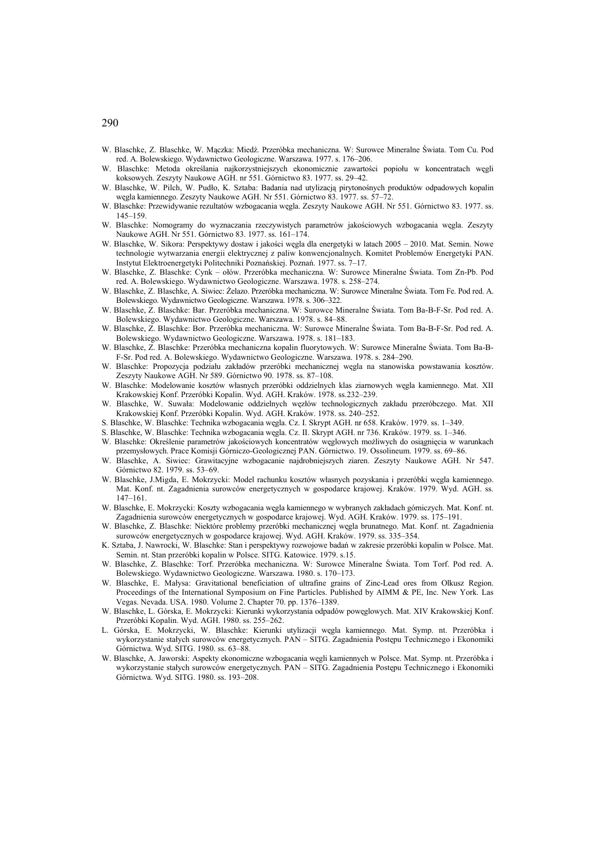- W. Blaschke, Z. Blaschke, W. Mączka: Miedź. Przeróbka mechaniczna. W: Surowce Mineralne Świata. Tom Cu. Pod red. A. Bolewskiego. Wydawnictwo Geologiczne. Warszawa. 1977. s. 176–206.
- W. Blaschke: Metoda określania najkorzystniejszych ekonomicznie zawartości popiołu w koncentratach węgli koksowych. Zeszyty Naukowe AGH. nr 551. Górnictwo 83. 1977. ss. 29–42.
- W. Blaschke, W. Pilch, W. Pudło, K. Sztaba: Badania nad utylizacją pirytonośnych produktów odpadowych kopalin węgla kamiennego. Zeszyty Naukowe AGH. Nr 551. Górnictwo 83. 1977. ss. 57–72.
- W. Blaschke: Przewidywanie rezultatów wzbogacania węgla. Zeszyty Naukowe AGH. Nr 551. Górnictwo 83. 1977. ss. 145–159.
- W. Blaschke: Nomogramy do wyznaczania rzeczywistych parametrów jakościowych wzbogacania węgla. Zeszyty Naukowe AGH. Nr 551. Górnictwo 83. 1977. ss. 161–174.
- W. Blaschke, W. Sikora: Perspektywy dostaw i jakości węgla dla energetyki w latach 2005 2010. Mat. Semin. Nowe technologie wytwarzania energii elektrycznej z paliw konwencjonalnych. Komitet Problemów Energetyki PAN. Instytut Elektroenergetyki Politechniki Poznańskiej. Poznań. 1977. ss. 7–17.
- W. Blaschke, Z. Blaschke: Cynk ołów. Przeróbka mechaniczna. W: Surowce Mineralne Świata. Tom Zn-Pb. Pod red. A. Bolewskiego. Wydawnictwo Geologiczne. Warszawa. 1978. s. 258–274.
- W. Blaschke, Z. Blaschke, A. Siwiec: Żelazo. Przeróbka mechaniczna. W: Surowce Mineralne Świata. Tom Fe. Pod red. A. Bolewskiego. Wydawnictwo Geologiczne. Warszawa. 1978. s. 306–322.
- W. Blaschke, Z. Blaschke: Bar. Przeróbka mechaniczna. W: Surowce Mineralne Świata. Tom Ba-B-F-Sr. Pod red. A. Bolewskiego. Wydawnictwo Geologiczne. Warszawa. 1978. s. 84–88.
- W. Blaschke, Z. Blaschke: Bor. Przeróbka mechaniczna. W: Surowce Mineralne Świata. Tom Ba-B-F-Sr. Pod red. A. Bolewskiego. Wydawnictwo Geologiczne. Warszawa. 1978. s. 181–183.
- W. Blaschke, Z. Blaschke: Przeróbka mechaniczna kopalin fluorytowych. W: Surowce Mineralne Świata. Tom Ba-B-F-Sr. Pod red. A. Bolewskiego. Wydawnictwo Geologiczne. Warszawa. 1978. s. 284–290.
- W. Blaschke: Propozycja podziału zakładów przeróbki mechanicznej węgla na stanowiska powstawania kosztów. Zeszyty Naukowe AGH. Nr 589. Górnictwo 90. 1978. ss. 87–108.
- W. Blaschke: Modelowanie kosztów własnych przeróbki oddzielnych klas ziarnowych węgla kamiennego. Mat. XII Krakowskiej Konf. Przeróbki Kopalin. Wyd. AGH. Kraków. 1978. ss.232–239.
- W. Blaschke, W. Suwała: Modelowanie oddzielnych węzłów technologicznych zakładu przeróbczego. Mat. XII Krakowskiej Konf. Przeróbki Kopalin. Wyd. AGH. Kraków. 1978. ss. 240–252.
- S. Blaschke, W. Blaschke: Technika wzbogacania węgla. Cz. I. Skrypt AGH. nr 658. Kraków. 1979. ss. 1–349.
- S. Blaschke, W. Blaschke: Technika wzbogacania węgla. Cz. II. Skrypt AGH. nr 736. Kraków. 1979. ss. 1–346.
- W. Blaschke: Określenie parametrów jakościowych koncentratów węglowych możliwych do osiągnięcia w warunkach przemysłowych. Prace Komisji Górniczo-Geologicznej PAN. Górnictwo. 19. Ossolineum. 1979. ss. 69–86.
- W. Blaschke, A. Siwiec: Grawitacyjne wzbogacanie najdrobniejszych ziaren. Zeszyty Naukowe AGH. Nr 547. Górnictwo 82. 1979. ss. 53–69.
- W. Blaschke, J.Migda, E. Mokrzycki: Model rachunku kosztów własnych pozyskania i przeróbki węgla kamiennego. Mat. Konf. nt. Zagadnienia surowców energetycznych w gospodarce krajowej. Kraków. 1979. Wyd. AGH. ss. 147–161.
- W. Blaschke, E. Mokrzycki: Koszty wzbogacania węgla kamiennego w wybranych zakładach górniczych. Mat. Konf. nt. Zagadnienia surowców energetycznych w gospodarce krajowej. Wyd. AGH. Kraków. 1979. ss. 175–191.
- W. Blaschke, Z. Blaschke: Niektóre problemy przeróbki mechanicznej węgla brunatnego. Mat. Konf. nt. Zagadnienia surowców energetycznych w gospodarce krajowej. Wyd. AGH. Kraków. 1979. ss. 335–354.
- K. Sztaba, J. Nawrocki, W. Blaschke: Stan i perspektywy rozwojowe badań w zakresie przeróbki kopalin w Polsce. Mat. Semin. nt. Stan przeróbki kopalin w Polsce. SITG. Katowice. 1979. s.15.
- W. Blaschke, Z. Blaschke: Torf. Przeróbka mechaniczna. W: Surowce Mineralne Świata. Tom Torf. Pod red. A. Bolewskiego. Wydawnictwo Geologiczne. Warszawa. 1980. s. 170–173.
- W. Blaschke, E. Małysa: Gravitational beneficiation of ultrafine grains of Zinc-Lead ores from Olkusz Region. Proceedings of the International Symposium on Fine Particles. Published by AIMM & PE, Inc. New York. Las Vegas. Nevada. USA. 1980. Volume 2. Chapter 70. pp. 1376–1389.
- W. Blaschke, L. Górska, E. Mokrzycki: Kierunki wykorzystania odpadów powęglowych. Mat. XIV Krakowskiej Konf. Przeróbki Kopalin. Wyd. AGH. 1980. ss. 255–262.
- L. Górska, E. Mokrzycki, W. Blaschke: Kierunki utylizacji węgla kamiennego. Mat. Symp. nt. Przeróbka i wykorzystanie stałych surowców energetycznych. PAN – SITG. Zagadnienia Postępu Technicznego i Ekonomiki Górnictwa. Wyd. SITG. 1980. ss. 63–88.
- W. Blaschke, A. Jaworski: Aspekty ekonomiczne wzbogacania węgli kamiennych w Polsce. Mat. Symp. nt. Przeróbka i wykorzystanie stałych surowców energetycznych. PAN – SITG. Zagadnienia Postępu Technicznego i Ekonomiki Górnictwa. Wyd. SITG. 1980. ss. 193–208.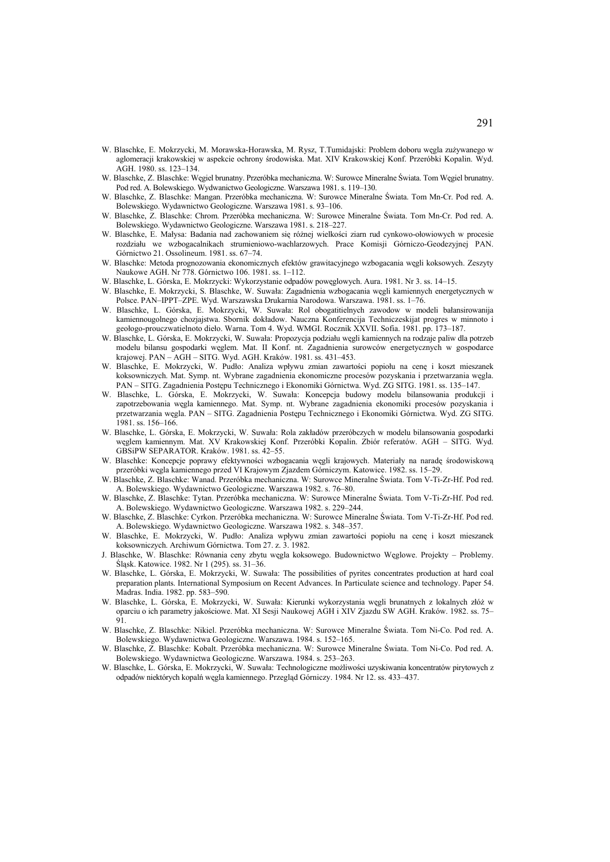- W. Blaschke, E. Mokrzycki, M. Morawska-Horawska, M. Rysz, T.Tumidajski: Problem doboru węgla zużywanego w aglomeracji krakowskiej w aspekcie ochrony środowiska. Mat. XIV Krakowskiej Konf. Przeróbki Kopalin. Wyd. AGH. 1980. ss. 123–134.
- W. Blaschke, Z. Blaschke: Węgiel brunatny. Przeróbka mechaniczna. W: Surowce Mineralne Świata. Tom Węgiel brunatny. Pod red. A. Bolewskiego. Wydwanictwo Geologiczne. Warszawa 1981. s. 119–130.
- W. Blaschke, Z. Blaschke: Mangan. Przeróbka mechaniczna. W: Surowce Mineralne Świata. Tom Mn-Cr. Pod red. A. Bolewskiego. Wydawnictwo Geologiczne. Warszawa 1981. s. 93–106.
- W. Blaschke, Z. Blaschke: Chrom. Przeróbka mechaniczna. W: Surowce Mineralne Świata. Tom Mn-Cr. Pod red. A. Bolewskiego. Wydawnictwo Geologiczne. Warszawa 1981. s. 218–227.
- W. Blaschke, E. Małysa: Badania nad zachowaniem się różnej wielkości ziarn rud cynkowo-ołowiowych w procesie rozdziału we wzbogacalnikach strumieniowo-wachlarzowych. Prace Komisji Górniczo-Geodezyjnej PAN. Górnictwo 21. Ossolineum. 1981. ss. 67–74.
- W. Blaschke: Metoda prognozowania ekonomicznych efektów grawitacyjnego wzbogacania węgli koksowych. Zeszyty Naukowe AGH. Nr 778. Górnictwo 106. 1981. ss. 1–112.
- W. Blaschke, L. Górska, E. Mokrzycki: Wykorzystanie odpadów powęglowych. Aura. 1981. Nr 3. ss. 14–15.
- W. Blaschke, E. Mokrzycki, S. Blaschke, W. Suwała: Zagadnienia wzbogacania węgli kamiennych energetycznych w Polsce. PAN–IPPT–ZPE. Wyd. Warszawska Drukarnia Narodowa. Warszawa. 1981. ss. 1–76.
- W. Blaschke, L. Górska, E. Mokrzycki, W. Suwała: Rol obogatitielnych zawodow w modeli bałansirowanija kamiennougolnego chozjajstwa. Sbornik dokładow. Nauczna Konferencija Techniczeskijat progres w minnoto i geołogo-prouczwatielnoto dieło. Warna. Tom 4. Wyd. WMGI. Rocznik XXVII. Sofia. 1981. pp. 173–187.
- W. Blaschke, L. Górska, E. Mokrzycki, W. Suwała: Propozycja podziału węgli kamiennych na rodzaje paliw dla potrzeb modelu bilansu gospodarki węglem. Mat. II Konf. nt. Zagadnienia surowców energetycznych w gospodarce krajowej. PAN – AGH – SITG. Wyd. AGH. Kraków. 1981. ss. 431–453.
- W. Blaschke, E. Mokrzycki, W. Pudło: Analiza wpływu zmian zawartości popiołu na cenę i koszt mieszanek koksowniczych. Mat. Symp. nt. Wybrane zagadnienia ekonomiczne procesów pozyskania i przetwarzania węgla. PAN – SITG. Zagadnienia Postępu Technicznego i Ekonomiki Górnictwa. Wyd. ZG SITG. 1981. ss. 135–147.
- W. Blaschke, L. Górska, E. Mokrzycki, W. Suwała: Koncepcja budowy modelu bilansowania produkcji i zapotrzebowania węgla kamiennego. Mat. Symp. nt. Wybrane zagadnienia ekonomiki procesów pozyskania i przetwarzania węgla. PAN – SITG. Zagadnienia Postępu Technicznego i Ekonomiki Górnictwa. Wyd. ZG SITG. 1981. ss. 156–166.
- W. Blaschke, L. Górska, E. Mokrzycki, W. Suwała: Rola zakładów przeróbczych w modelu bilansowania gospodarki węglem kamiennym. Mat. XV Krakowskiej Konf. Przeróbki Kopalin. Zbiór referatów. AGH – SITG. Wyd. GBSiPW SEPARATOR. Kraków. 1981. ss. 42–55.
- W. Blaschke: Koncepcje poprawy efektywności wzbogacania węgli krajowych. Materiały na naradę środowiskową przeróbki węgla kamiennego przed VI Krajowym Zjazdem Górniczym. Katowice. 1982. ss. 15–29.
- W. Blaschke, Z. Blaschke: Wanad. Przeróbka mechaniczna. W: Surowce Mineralne Świata. Tom V-Ti-Zr-Hf. Pod red. A. Bolewskiego. Wydawnictwo Geologiczne. Warszawa 1982. s. 76–80.
- W. Blaschke, Z. Blaschke: Tytan. Przeróbka mechaniczna. W: Surowce Mineralne Świata. Tom V-Ti-Zr-Hf. Pod red. A. Bolewskiego. Wydawnictwo Geologiczne. Warszawa 1982. s. 229–244.
- W. Blaschke, Z. Blaschke: Cyrkon. Przeróbka mechaniczna. W: Surowce Mineralne Świata. Tom V-Ti-Zr-Hf. Pod red. A. Bolewskiego. Wydawnictwo Geologiczne. Warszawa 1982. s. 348–357.
- W. Blaschke, E. Mokrzycki, W. Pudło: Analiza wpływu zmian zawartości popiołu na cenę i koszt mieszanek koksowniczych. Archiwum Górnictwa. Tom 27. z. 3. 1982.
- J. Blaschke, W. Blaschke: Równania ceny zbytu węgla koksowego. Budownictwo Węglowe. Projekty Problemy. Śląsk. Katowice. 1982. Nr 1 (295). ss. 31–36.
- W. Blaschke, L. Górska, E. Mokrzycki, W. Suwała: The possibilities of pyrites concentrates production at hard coal preparation plants. International Symposium on Recent Advances. In Particulate science and technology. Paper 54. Madras. India. 1982. pp. 583–590.
- W. Blaschke, L. Górska, E. Mokrzycki, W. Suwała: Kierunki wykorzystania węgli brunatnych z lokalnych złóż w oparciu o ich parametry jakościowe. Mat. XI Sesji Naukowej AGH i XIV Zjazdu SW AGH. Kraków. 1982. ss. 75– 91.
- W. Blaschke, Z. Blaschke: Nikiel. Przeróbka mechaniczna. W: Surowce Mineralne Świata. Tom Ni-Co. Pod red. A. Bolewskiego. Wydawnictwa Geologiczne. Warszawa. 1984. s. 152–165.
- W. Blaschke, Z. Blaschke: Kobalt. Przeróbka mechaniczna. W: Surowce Mineralne Świata. Tom Ni-Co. Pod red. A. Bolewskiego. Wydawnictwa Geologiczne. Warszawa. 1984. s. 253–263.
- W. Blaschke, L. Górska, E. Mokrzycki, W. Suwała: Technologiczne możliwości uzyskiwania koncentratów pirytowych z odpadów niektórych kopalń węgla kamiennego. Przegląd Górniczy. 1984. Nr 12. ss. 433–437.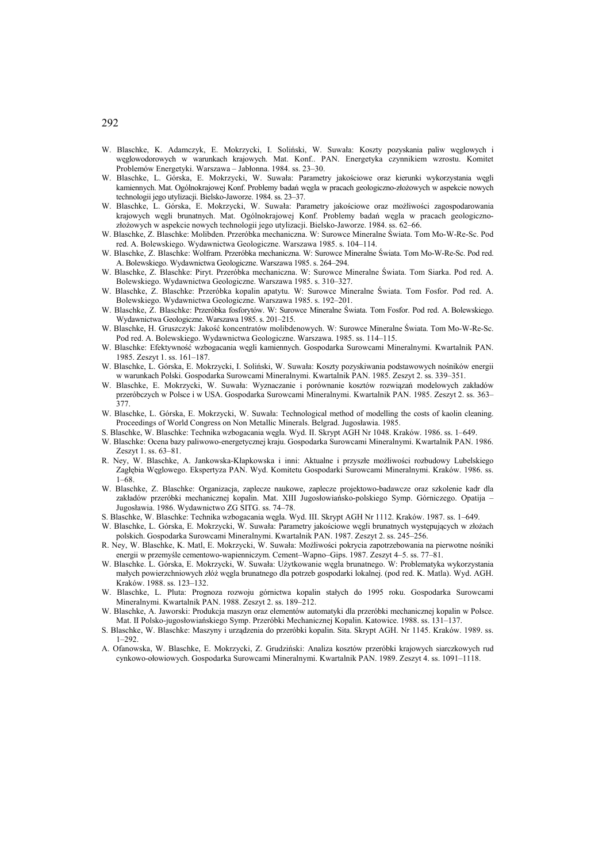- W. Blaschke, K. Adamczyk, E. Mokrzycki, I. Soliński, W. Suwała: Koszty pozyskania paliw węglowych i węglowodorowych w warunkach krajowych. Mat. Konf.. PAN. Energetyka czynnikiem wzrostu. Komitet Problemów Energetyki. Warszawa – Jabłonna. 1984. ss. 23–30.
- W. Blaschke, L. Górska, E. Mokrzycki, W. Suwała: Parametry jakościowe oraz kierunki wykorzystania węgli kamiennych. Mat. Ogólnokrajowej Konf. Problemy badań węgla w pracach geologiczno-złożowych w aspekcie nowych technologii jego utylizacji. Bielsko-Jaworze. 1984. ss. 23–37.
- W. Blaschke, L. Górska, E. Mokrzycki, W. Suwała: Parametry jakościowe oraz możliwości zagospodarowania krajowych węgli brunatnych. Mat. Ogólnokrajowej Konf. Problemy badań węgla w pracach geologicznozłożowych w aspekcie nowych technologii jego utylizacji. Bielsko-Jaworze. 1984. ss. 62–66.
- W. Blaschke, Z. Blaschke: Molibden. Przeróbka mechaniczna. W: Surowce Mineralne Świata. Tom Mo-W-Re-Sc. Pod red. A. Bolewskiego. Wydawnictwa Geologiczne. Warszawa 1985. s. 104–114.
- W. Blaschke, Z. Blaschke: Wolfram. Przeróbka mechaniczna. W: Surowce Mineralne Świata. Tom Mo-W-Re-Sc. Pod red. A. Bolewskiego. Wydawnictwa Geologiczne. Warszawa 1985. s. 264–294.
- W. Blaschke, Z. Blaschke: Piryt. Przeróbka mechaniczna. W: Surowce Mineralne Świata. Tom Siarka. Pod red. A. Bolewskiego. Wydawnictwa Geologiczne. Warszawa 1985. s. 310–327.
- W. Blaschke, Z. Blaschke: Przeróbka kopalin apatytu. W: Surowce Mineralne Świata. Tom Fosfor. Pod red. A. Bolewskiego. Wydawnictwa Geologiczne. Warszawa 1985. s. 192–201.
- W. Blaschke, Z. Blaschke: Przeróbka fosforytów. W: Surowce Mineralne Świata. Tom Fosfor. Pod red. A. Bolewskiego. Wydawnictwa Geologiczne. Warszawa 1985. s. 201–215.
- W. Blaschke, H. Gruszczyk: Jakość koncentratów molibdenowych. W: Surowce Mineralne Świata. Tom Mo-W-Re-Sc. Pod red. A. Bolewskiego. Wydawnictwa Geologiczne. Warszawa. 1985. ss. 114–115.
- W. Blaschke: Efektywność wzbogacania węgli kamiennych. Gospodarka Surowcami Mineralnymi. Kwartalnik PAN. 1985. Zeszyt 1. ss. 161–187.
- W. Blaschke, L. Górska, E. Mokrzycki, I. Soliński, W. Suwała: Koszty pozyskiwania podstawowych nośników energii w warunkach Polski. Gospodarka Surowcami Mineralnymi. Kwartalnik PAN. 1985. Zeszyt 2. ss. 339–351.
- W. Blaschke, E. Mokrzycki, W. Suwała: Wyznaczanie i porównanie kosztów rozwiązań modelowych zakładów przeróbczych w Polsce i w USA. Gospodarka Surowcami Mineralnymi. Kwartalnik PAN. 1985. Zeszyt 2. ss. 363– 377.
- W. Blaschke, L. Górska, E. Mokrzycki, W. Suwała: Technological method of modelling the costs of kaolin cleaning. Proceedings of World Congress on Non Metallic Minerals. Belgrad. Jugosławia. 1985.
- S. Blaschke, W. Blaschke: Technika wzbogacania węgla. Wyd. II. Skrypt AGH Nr 1048. Kraków. 1986. ss. 1–649.
- W. Blaschke: Ocena bazy paliwowo-energetycznej kraju. Gospodarka Surowcami Mineralnymi. Kwartalnik PAN. 1986. Zeszyt 1. ss. 63–81.
- R. Ney, W. Blaschke, A. Jankowska-Kłapkowska i inni: Aktualne i przyszłe możliwości rozbudowy Lubelskiego Zagłębia Węglowego. Ekspertyza PAN. Wyd. Komitetu Gospodarki Surowcami Mineralnymi. Kraków. 1986. ss. 1–68.
- W. Blaschke, Z. Blaschke: Organizacja, zaplecze naukowe, zaplecze projektowo-badawcze oraz szkolenie kadr dla zakładów przeróbki mechanicznej kopalin. Mat. XIII Jugosłowiańsko-polskiego Symp. Górniczego. Opatija – Jugosławia. 1986. Wydawnictwo ZG SITG. ss. 74–78.
- S. Blaschke, W. Blaschke: Technika wzbogacania węgla. Wyd. III. Skrypt AGH Nr 1112. Kraków. 1987. ss. 1–649.
- W. Blaschke, L. Górska, E. Mokrzycki, W. Suwała: Parametry jakościowe węgli brunatnych występujących w złożach polskich. Gospodarka Surowcami Mineralnymi. Kwartalnik PAN. 1987. Zeszyt 2. ss. 245–256.
- R. Ney, W. Blaschke, K. Matl, E. Mokrzycki, W. Suwała: Możliwości pokrycia zapotrzebowania na pierwotne nośniki energii w przemyśle cementowo-wapienniczym. Cement–Wapno–Gips. 1987. Zeszyt 4–5. ss. 77–81.
- W. Blaschke. L. Górska, E. Mokrzycki, W. Suwała: Użytkowanie węgla brunatnego. W: Problematyka wykorzystania małych powierzchniowych złóż węgla brunatnego dla potrzeb gospodarki lokalnej. (pod red. K. Matla). Wyd. AGH. Kraków. 1988. ss. 123–132.
- W. Blaschke, L. Pluta: Prognoza rozwoju górnictwa kopalin stałych do 1995 roku. Gospodarka Surowcami Mineralnymi. Kwartalnik PAN. 1988. Zeszyt 2. ss. 189–212.
- W. Blaschke, A. Jaworski: Produkcja maszyn oraz elementów automatyki dla przeróbki mechanicznej kopalin w Polsce. Mat. II Polsko-jugosłowiańskiego Symp. Przeróbki Mechanicznej Kopalin. Katowice. 1988. ss. 131–137.
- S. Blaschke, W. Blaschke: Maszyny i urządzenia do przeróbki kopalin. Sita. Skrypt AGH. Nr 1145. Kraków. 1989. ss. 1–292.
- A. Ofanowska, W. Blaschke, E. Mokrzycki, Z. Grudziński: Analiza kosztów przeróbki krajowych siarczkowych rud cynkowo-ołowiowych. Gospodarka Surowcami Mineralnymi. Kwartalnik PAN. 1989. Zeszyt 4. ss. 1091–1118.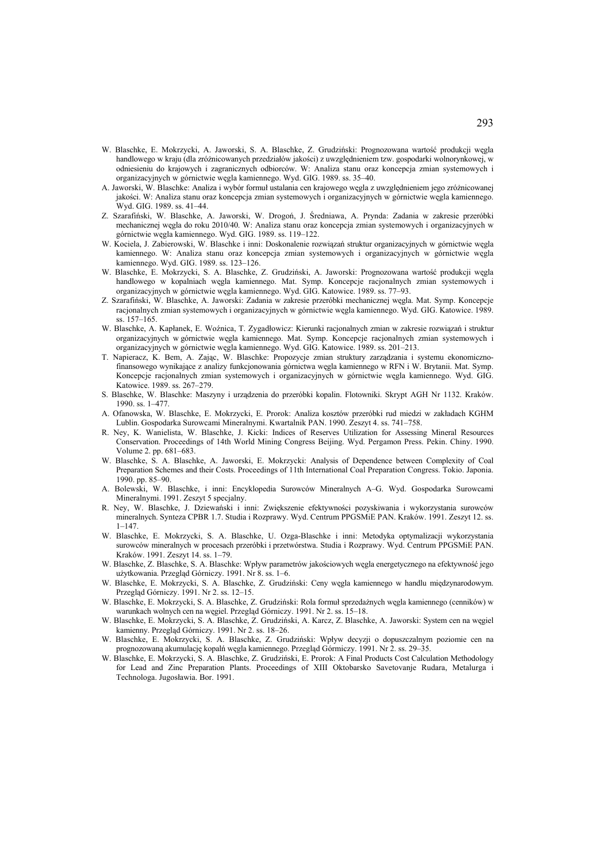- W. Blaschke, E. Mokrzycki, A. Jaworski, S. A. Blaschke, Z. Grudziński: Prognozowana wartość produkcji węgla handlowego w kraju (dla zróżnicowanych przedziałów jakości) z uwzględnieniem tzw. gospodarki wolnorynkowej, w odniesieniu do krajowych i zagranicznych odbiorców. W: Analiza stanu oraz koncepcja zmian systemowych i organizacyjnych w górnictwie węgla kamiennego. Wyd. GIG. 1989. ss. 35–40.
- A. Jaworski, W. Blaschke: Analiza i wybór formuł ustalania cen krajowego węgla z uwzględnieniem jego zróżnicowanej jakości. W: Analiza stanu oraz koncepcja zmian systemowych i organizacyjnych w górnictwie węgla kamiennego. Wyd. GIG. 1989. ss. 41–44.
- Z. Szarafiński, W. Blaschke, A. Jaworski, W. Drogoń, J. Średniawa, A. Prynda: Zadania w zakresie przeróbki mechanicznej węgla do roku 2010/40. W: Analiza stanu oraz koncepcja zmian systemowych i organizacyjnych w górnictwie węgla kamiennego. Wyd. GIG. 1989. ss. 119–122.
- W. Kociela, J. Zabierowski, W. Blaschke i inni: Doskonalenie rozwiązań struktur organizacyjnych w górnictwie węgla kamiennego. W: Analiza stanu oraz koncepcja zmian systemowych i organizacyjnych w górnictwie węgla kamiennego. Wyd. GIG. 1989. ss. 123–126.
- W. Blaschke, E. Mokrzycki, S. A. Blaschke, Z. Grudziński, A. Jaworski: Prognozowana wartość produkcji węgla handlowego w kopalniach węgla kamiennego. Mat. Symp. Koncepcje racjonalnych zmian systemowych i organizacyjnych w górnictwie węgla kamiennego. Wyd. GIG. Katowice. 1989. ss. 77–93.
- Z. Szarafiński, W. Blaschke, A. Jaworski: Zadania w zakresie przeróbki mechanicznej węgla. Mat. Symp. Koncepcje racjonalnych zmian systemowych i organizacyjnych w górnictwie węgla kamiennego. Wyd. GIG. Katowice. 1989. ss. 157–165.
- W. Blaschke, A. Kapłanek, E. Woźnica, T. Zygadłowicz: Kierunki racjonalnych zmian w zakresie rozwiązań i struktur organizacyjnych w górnictwie węgla kamiennego. Mat. Symp. Koncepcje racjonalnych zmian systemowych i organizacyjnych w górnictwie węgla kamiennego. Wyd. GIG. Katowice. 1989. ss. 201–213.
- T. Napieracz, K. Bem, A. Zając, W. Blaschke: Propozycje zmian struktury zarządzania i systemu ekonomicznofinansowego wynikające z analizy funkcjonowania górnictwa węgla kamiennego w RFN i W. Brytanii. Mat. Symp. Koncepcje racjonalnych zmian systemowych i organizacyjnych w górnictwie węgla kamiennego. Wyd. GIG. Katowice. 1989. ss. 267–279.
- S. Blaschke, W. Blaschke: Maszyny i urządzenia do przeróbki kopalin. Flotowniki. Skrypt AGH Nr 1132. Kraków. 1990. ss. 1–477.
- A. Ofanowska, W. Blaschke, E. Mokrzycki, E. Prorok: Analiza kosztów przeróbki rud miedzi w zakładach KGHM Lublin. Gospodarka Surowcami Mineralnymi. Kwartalnik PAN. 1990. Zeszyt 4. ss. 741–758.
- R. Ney, K. Wanielista, W. Blaschke, J. Kicki: Indices of Reserves Utilization for Assessing Mineral Resources Conservation. Proceedings of 14th World Mining Congress Beijing. Wyd. Pergamon Press. Pekin. Chiny. 1990. Volume 2. pp. 681–683.
- W. Blaschke, S. A. Blaschke, A. Jaworski, E. Mokrzycki: Analysis of Dependence between Complexity of Coal Preparation Schemes and their Costs. Proceedings of 11th International Coal Preparation Congress. Tokio. Japonia. 1990. pp. 85–90.
- A. Bolewski, W. Blaschke, i inni: Encyklopedia Surowców Mineralnych A–G. Wyd. Gospodarka Surowcami Mineralnymi. 1991. Zeszyt 5 specjalny.
- R. Ney, W. Blaschke, J. Dziewański i inni: Zwiększenie efektywności pozyskiwania i wykorzystania surowców mineralnych. Synteza CPBR 1.7. Studia i Rozprawy. Wyd. Centrum PPGSMiE PAN. Kraków. 1991. Zeszyt 12. ss. 1–147.
- W. Blaschke, E. Mokrzycki, S. A. Blaschke, U. Ozga-Blaschke i inni: Metodyka optymalizacji wykorzystania surowców mineralnych w procesach przeróbki i przetwórstwa. Studia i Rozprawy. Wyd. Centrum PPGSMiE PAN. Kraków. 1991. Zeszyt 14. ss. 1–79.
- W. Blaschke, Z. Blaschke, S. A. Blaschke: Wpływ parametrów jakościowych węgla energetycznego na efektywność jego użytkowania. Przegląd Górniczy. 1991. Nr 8. ss. 1–6.
- W. Blaschke, E. Mokrzycki, S. A. Blaschke, Z. Grudziński: Ceny węgla kamiennego w handlu międzynarodowym. Przegląd Górniczy. 1991. Nr 2. ss. 12–15.
- W. Blaschke, E. Mokrzycki, S. A. Blaschke, Z. Grudziński: Rola formuł sprzedażnych węgla kamiennego (cenników) w warunkach wolnych cen na węgiel. Przegląd Górniczy. 1991. Nr 2. ss. 15–18.
- W. Blaschke, E. Mokrzycki, S. A. Blaschke, Z. Grudziński, A. Karcz, Z. Blaschke, A. Jaworski: System cen na węgiel kamienny. Przegląd Górniczy. 1991. Nr 2. ss. 18–26.
- W. Blaschke, E. Mokrzycki, S. A. Blaschke, Z. Grudziński: Wpływ decyzji o dopuszczalnym poziomie cen na prognozowaną akumulację kopalń węgla kamiennego. Przegląd Górmiczy. 1991. Nr 2. ss. 29–35.
- W. Blaschke, E. Mokrzycki, S. A. Blaschke, Z. Grudziński, E. Prorok: A Final Products Cost Calculation Methodology for Lead and Zinc Preparation Plants. Proceedings of XIII Oktobarsko Savetovanje Rudara, Metalurga i Technologa. Jugosławia. Bor. 1991.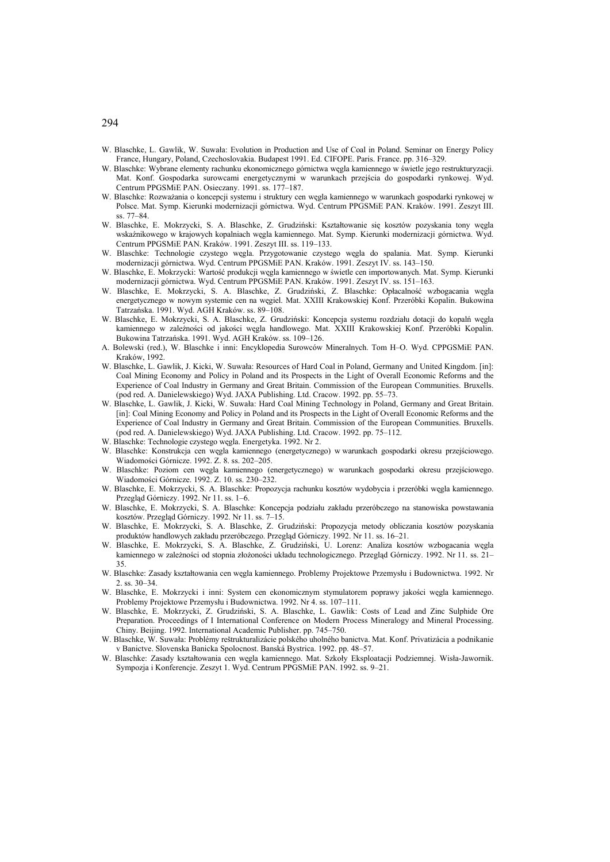- W. Blaschke, L. Gawlik, W. Suwała: Evolution in Production and Use of Coal in Poland. Seminar on Energy Policy France, Hungary, Poland, Czechoslovakia. Budapest 1991. Ed. CIFOPE. Paris. France. pp. 316–329.
- W. Blaschke: Wybrane elementy rachunku ekonomicznego górnictwa węgla kamiennego w świetle jego restrukturyzacji. Mat. Konf. Gospodarka surowcami energetycznymi w warunkach przejścia do gospodarki rynkowej. Wyd. Centrum PPGSMiE PAN. Osieczany. 1991. ss. 177–187.
- W. Blaschke: Rozważania o koncepcji systemu i struktury cen węgla kamiennego w warunkach gospodarki rynkowej w Polsce. Mat. Symp. Kierunki modernizacji górnictwa. Wyd. Centrum PPGSMiE PAN. Kraków. 1991. Zeszyt III. ss. 77–84.
- W. Blaschke, E. Mokrzycki, S. A. Blaschke, Z. Grudziński: Kształtowanie się kosztów pozyskania tony węgla wskaźnikowego w krajowych kopalniach węgla kamiennego. Mat. Symp. Kierunki modernizacji górnictwa. Wyd. Centrum PPGSMiE PAN. Kraków. 1991. Zeszyt III. ss. 119–133.
- W. Blaschke: Technologie czystego węgla. Przygotowanie czystego węgla do spalania. Mat. Symp. Kierunki modernizacji górnictwa. Wyd. Centrum PPGSMiE PAN. Kraków. 1991. Zeszyt IV. ss. 143–150.
- W. Blaschke, E. Mokrzycki: Wartość produkcji węgla kamiennego w świetle cen importowanych. Mat. Symp. Kierunki modernizacji górnictwa. Wyd. Centrum PPGSMiE PAN. Kraków. 1991. Zeszyt IV. ss. 151–163.
- W. Blaschke, E. Mokrzycki, S. A. Blaschke, Z. Grudziński, Z. Blaschke: Opłacalność wzbogacania węgla energetycznego w nowym systemie cen na węgiel. Mat. XXIII Krakowskiej Konf. Przeróbki Kopalin. Bukowina Tatrzańska. 1991. Wyd. AGH Kraków. ss. 89–108.
- W. Blaschke, E. Mokrzycki, S. A. Blaschke, Z. Grudziński: Koncepcja systemu rozdziału dotacji do kopalń węgla kamiennego w zależności od jakości węgla handlowego. Mat. XXIII Krakowskiej Konf. Przeróbki Kopalin. Bukowina Tatrzańska. 1991. Wyd. AGH Kraków. ss. 109–126.
- A. Bolewski (red.), W. Blaschke i inni: Encyklopedia Surowców Mineralnych. Tom H–O. Wyd. CPPGSMiE PAN. Kraków, 1992.
- W. Blaschke, L. Gawlik, J. Kicki, W. Suwała: Resources of Hard Coal in Poland, Germany and United Kingdom. [in]: Coal Mining Economy and Policy in Poland and its Prospects in the Light of Overall Economic Reforms and the Experience of Coal Industry in Germany and Great Britain. Commission of the European Communities. Bruxells. (pod red. A. Danielewskiego) Wyd. JAXA Publishing. Ltd. Cracow. 1992. pp. 55–73.
- W. Blaschke, L. Gawlik, J. Kicki, W. Suwała: Hard Coal Mining Technology in Poland, Germany and Great Britain. [in]: Coal Mining Economy and Policy in Poland and its Prospects in the Light of Overall Economic Reforms and the Experience of Coal Industry in Germany and Great Britain. Commission of the European Communities. Bruxells. (pod red. A. Danielewskiego) Wyd. JAXA Publishing. Ltd. Cracow. 1992. pp. 75–112.
- W. Blaschke: Technologie czystego węgla. Energetyka. 1992. Nr 2.
- W. Blaschke: Konstrukcja cen węgla kamiennego (energetycznego) w warunkach gospodarki okresu przejściowego. Wiadomości Górnicze. 1992. Z. 8. ss. 202–205.
- W. Blaschke: Poziom cen węgla kamiennego (energetycznego) w warunkach gospodarki okresu przejściowego. Wiadomości Górnicze. 1992. Z. 10. ss. 230–232.
- W. Blaschke, E. Mokrzycki, S. A. Blaschke: Propozycja rachunku kosztów wydobycia i przeróbki węgla kamiennego. Przegląd Górniczy. 1992. Nr 11. ss. 1–6.
- W. Blaschke, E. Mokrzycki, S. A. Blaschke: Koncepcja podziału zakładu przeróbczego na stanowiska powstawania kosztów. Przegląd Górniczy. 1992. Nr 11. ss. 7–15.
- W. Blaschke, E. Mokrzycki, S. A. Blaschke, Z. Grudziński: Propozycja metody obliczania kosztów pozyskania produktów handlowych zakładu przeróbczego. Przegląd Górniczy. 1992. Nr 11. ss. 16–21.
- W. Blaschke, E. Mokrzycki, S. A. Blaschke, Z. Grudziński, U. Lorenz: Analiza kosztów wzbogacania węgla kamiennego w zależności od stopnia złożoności układu technologicznego. Przegląd Górniczy. 1992. Nr 11. ss. 21– 35.
- W. Blaschke: Zasady kształtowania cen węgla kamiennego. Problemy Projektowe Przemysłu i Budownictwa. 1992. Nr 2. ss. 30–34.
- W. Blaschke, E. Mokrzycki i inni: System cen ekonomicznym stymulatorem poprawy jakości węgla kamiennego. Problemy Projektowe Przemysłu i Budownictwa. 1992. Nr 4. ss. 107–111.
- W. Blaschke, E. Mokrzycki, Z. Grudziński, S. A. Blaschke, L. Gawlik: Costs of Lead and Zinc Sulphide Ore Preparation. Proceedings of I International Conference on Modern Process Mineralogy and Mineral Processing. Chiny. Beijing. 1992. International Academic Publisher. pp. 745–750.
- W. Blaschke, W. Suwała: Problémy reštrukturalizácie polského uholného banictva. Mat. Konf. Privatizácia a podnikanie v Banictve. Slovenska Banicka Spolocnost. Banská Bystrica. 1992. pp. 48–57.
- W. Blaschke: Zasady kształtowania cen węgla kamiennego. Mat. Szkoły Eksploatacji Podziemnej. Wisła-Jawornik. Sympozja i Konferencje. Zeszyt 1. Wyd. Centrum PPGSMiE PAN. 1992. ss. 9–21.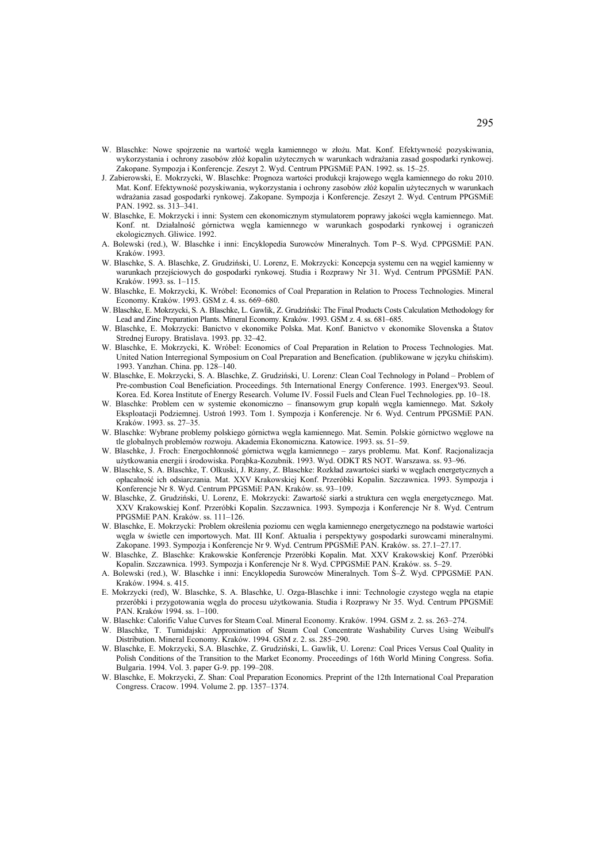- W. Blaschke: Nowe spojrzenie na wartość wegla kamiennego w złożu. Mat. Konf. Efektywność pozyskiwania, wykorzystania i ochrony zasobów złóż kopalin użytecznych w warunkach wdrażania zasad gospodarki rynkowej. Zakopane. Sympozja i Konferencje. Zeszyt 2. Wyd. Centrum PPGSMiE PAN. 1992. ss. 15–25.
- J. Zabierowski, E. Mokrzycki, W. Blaschke: Prognoza wartości produkcji krajowego węgla kamiennego do roku 2010. Mat. Konf. Efektywność pozyskiwania, wykorzystania i ochrony zasobów złóż kopalin użytecznych w warunkach wdrażania zasad gospodarki rynkowej. Zakopane. Sympozja i Konferencje. Zeszyt 2. Wyd. Centrum PPGSMiE PAN. 1992. ss. 313–341.
- W. Blaschke, E. Mokrzycki i inni: System cen ekonomicznym stymulatorem poprawy jakości węgla kamiennego. Mat. Konf. nt. Działalność górnictwa węgla kamiennego w warunkach gospodarki rynkowej i ograniczeń ekologicznych. Gliwice. 1992.
- A. Bolewski (red.), W. Blaschke i inni: Encyklopedia Surowców Mineralnych. Tom P–S. Wyd. CPPGSMiE PAN. Kraków. 1993.
- W. Blaschke, S. A. Blaschke, Z. Grudziński, U. Lorenz, E. Mokrzycki: Koncepcja systemu cen na węgiel kamienny w warunkach przejściowych do gospodarki rynkowej. Studia i Rozprawy Nr 31. Wyd. Centrum PPGSMiE PAN. Kraków. 1993. ss. 1–115.
- W. Blaschke, E. Mokrzycki, K. Wróbel: Economics of Coal Preparation in Relation to Process Technologies. Mineral Economy. Kraków. 1993. GSM z. 4. ss. 669–680.
- W. Blaschke, E. Mokrzycki, S. A. Blaschke, L. Gawlik, Z. Grudziński: The Final Products Costs Calculation Methodology for Lead and Zinc Preparation Plants. Mineral Economy. Kraków. 1993. GSM z. 4. ss. 681–685.
- W. Blaschke, E. Mokrzycki: Banictvo v ekonomike Polska. Mat. Konf. Banictvo v ekonomike Slovenska a Štatov Strednej Europy. Bratislava. 1993. pp. 32–42.
- W. Blaschke, E. Mokrzycki, K. Wróbel: Economics of Coal Preparation in Relation to Process Technologies. Mat. United Nation Interregional Symposium on Coal Preparation and Benefication. (publikowane w języku chińskim). 1993. Yanzhan. China. pp. 128–140.
- W. Blaschke, E. Mokrzycki, S. A. Blaschke, Z. Grudziński, U. Lorenz: Clean Coal Technology in Poland Problem of Pre-combustion Coal Beneficiation. Proceedings. 5th International Energy Conference. 1993. Energex'93. Seoul. Korea. Ed. Korea Institute of Energy Research. Volume IV. Fossil Fuels and Clean Fuel Technologies. pp. 10–18.
- W. Blaschke: Problem cen w systemie ekonomiczno finansowym grup kopalń węgla kamiennego. Mat. Szkoły Eksploatacji Podziemnej. Ustroń 1993. Tom 1. Sympozja i Konferencje. Nr 6. Wyd. Centrum PPGSMiE PAN. Kraków. 1993. ss. 27–35.
- W. Blaschke: Wybrane problemy polskiego górnictwa węgla kamiennego. Mat. Semin. Polskie górnictwo węglowe na tle globalnych problemów rozwoju. Akademia Ekonomiczna. Katowice. 1993. ss. 51–59.
- W. Blaschke, J. Froch: Energochłonność górnictwa węgla kamiennego zarys problemu. Mat. Konf. Racjonalizacja użytkowania energii i środowiska. Porąbka-Kozubnik. 1993. Wyd. ODKT RS NOT. Warszawa. ss. 93–96.
- W. Blaschke, S. A. Blaschke, T. Olkuski, J. Rżany, Z. Blaschke: Rozkład zawartości siarki w węglach energetycznych a opłacalność ich odsiarczania. Mat. XXV Krakowskiej Konf. Przeróbki Kopalin. Szczawnica. 1993. Sympozja i Konferencje Nr 8. Wyd. Centrum PPGSMiE PAN. Kraków. ss. 93–109.
- W. Blaschke, Z. Grudziński, U. Lorenz, E. Mokrzycki: Zawartość siarki a struktura cen węgla energetycznego. Mat. XXV Krakowskiej Konf. Przeróbki Kopalin. Szczawnica. 1993. Sympozja i Konferencje Nr 8. Wyd. Centrum PPGSMiE PAN. Kraków. ss. 111–126.
- W. Blaschke, E. Mokrzycki: Problem określenia poziomu cen węgla kamiennego energetycznego na podstawie wartości węgla w świetle cen importowych. Mat. III Konf. Aktualia i perspektywy gospodarki surowcami mineralnymi. Zakopane. 1993. Sympozja i Konferencje Nr 9. Wyd. Centrum PPGSMiE PAN. Kraków. ss. 27.1–27.17.
- W. Blaschke, Z. Blaschke: Krakowskie Konferencje Przeróbki Kopalin. Mat. XXV Krakowskiej Konf. Przeróbki Kopalin. Szczawnica. 1993. Sympozja i Konferencje Nr 8. Wyd. CPPGSMiE PAN. Kraków. ss. 5–29.
- A. Bolewski (red.), W. Blaschke i inni: Encyklopedia Surowców Mineralnych. Tom Ś–Ż. Wyd. CPPGSMiE PAN. Kraków. 1994. s. 415.
- E. Mokrzycki (red), W. Blaschke, S. A. Blaschke, U. Ozga-Blaschke i inni: Technologie czystego węgla na etapie przeróbki i przygotowania węgla do procesu użytkowania. Studia i Rozprawy Nr 35. Wyd. Centrum PPGSMiE PAN. Kraków 1994. ss. 1–100.
- W. Blaschke: Calorific Value Curves for Steam Coal. Mineral Economy. Kraków. 1994. GSM z. 2. ss. 263–274.
- W. Blaschke, T. Tumidajski: Approximation of Steam Coal Concentrate Washability Curves Using Weibull's Distribution. Mineral Economy. Kraków. 1994. GSM z. 2. ss. 285–290.
- W. Blaschke, E. Mokrzycki, S.A. Blaschke, Z. Grudziński, L. Gawlik, U. Lorenz: Coal Prices Versus Coal Quality in Polish Conditions of the Transition to the Market Economy. Proceedings of 16th World Mining Congress. Sofia. Bulgaria. 1994. Vol. 3. paper G-9. pp. 199–208.
- W. Blaschke, E. Mokrzycki, Z. Shan: Coal Preparation Economics. Preprint of the 12th International Coal Preparation Congress. Cracow. 1994. Volume 2. pp. 1357–1374.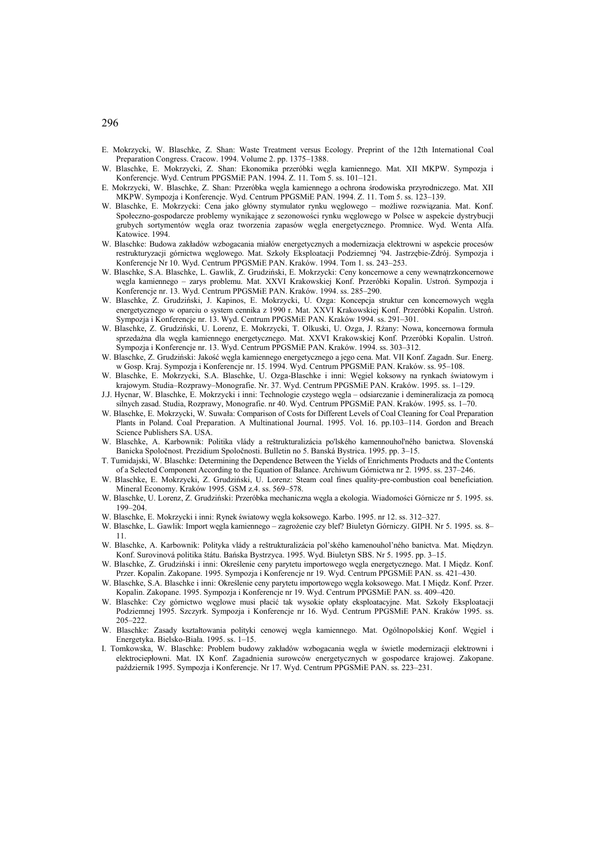- E. Mokrzycki, W. Blaschke, Z. Shan: Waste Treatment versus Ecology. Preprint of the 12th International Coal Preparation Congress. Cracow. 1994. Volume 2. pp. 1375–1388.
- W. Blaschke, E. Mokrzycki, Z. Shan: Ekonomika przeróbki węgla kamiennego. Mat. XII MKPW. Sympozja i Konferencje. Wyd. Centrum PPGSMiE PAN. 1994. Z. 11. Tom 5. ss. 101–121.
- E. Mokrzycki, W. Blaschke, Z. Shan: Przeróbka węgla kamiennego a ochrona środowiska przyrodniczego. Mat. XII MKPW. Sympozja i Konferencje. Wyd. Centrum PPGSMiE PAN. 1994. Z. 11. Tom 5. ss. 123–139.
- W. Blaschke, E. Mokrzycki: Cena jako główny stymulator rynku węglowego możliwe rozwiązania. Mat. Konf. Społeczno-gospodarcze problemy wynikające z sezonowości rynku węglowego w Polsce w aspekcie dystrybucji grubych sortymentów węgla oraz tworzenia zapasów węgla energetycznego. Promnice. Wyd. Wenta Alfa. Katowice. 1994.
- W. Blaschke: Budowa zakładów wzbogacania miałów energetycznych a modernizacja elektrowni w aspekcie procesów restrukturyzacji górnictwa węglowego. Mat. Szkoły Eksploatacji Podziemnej '94. Jastrzębie-Zdrój. Sympozja i Konferencje Nr 10. Wyd. Centrum PPGSMiE PAN. Kraków. 1994. Tom 1. ss. 243–253.
- W. Blaschke, S.A. Blaschke, L. Gawlik, Z. Grudziński, E. Mokrzycki: Ceny koncernowe a ceny wewnątrzkoncernowe węgla kamiennego – zarys problemu. Mat. XXVI Krakowskiej Konf. Przeróbki Kopalin. Ustroń. Sympozja i Konferencje nr. 13. Wyd. Centrum PPGSMiE PAN. Kraków. 1994. ss. 285–290.
- W. Blaschke, Z. Grudziński, J. Kapinos, E. Mokrzycki, U. Ozga: Koncepcja struktur cen koncernowych węgla energetycznego w oparciu o system cennika z 1990 r. Mat. XXVI Krakowskiej Konf. Przeróbki Kopalin. Ustroń. Sympozja i Konferencje nr. 13. Wyd. Centrum PPGSMiE PAN. Kraków 1994. ss. 291–301.
- W. Blaschke, Z. Grudziński, U. Lorenz, E. Mokrzycki, T. Olkuski, U. Ozga, J. Rżany: Nowa, koncernowa formuła sprzedażna dla węgla kamiennego energetycznego. Mat. XXVI Krakowskiej Konf. Przeróbki Kopalin. Ustroń. Sympozja i Konferencje nr. 13. Wyd. Centrum PPGSMiE PAN. Kraków. 1994. ss. 303–312.
- W. Blaschke, Z. Grudziński: Jakość węgla kamiennego energetycznego a jego cena. Mat. VII Konf. Zagadn. Sur. Energ. w Gosp. Kraj. Sympozja i Konferencje nr. 15. 1994. Wyd. Centrum PPGSMiE PAN. Kraków. ss. 95–108.
- W. Blaschke, E. Mokrzycki, S.A. Blaschke, U. Ozga-Blaschke i inni: Węgiel koksowy na rynkach światowym i krajowym. Studia–Rozprawy–Monografie. Nr. 37. Wyd. Centrum PPGSMiE PAN. Kraków. 1995. ss. 1–129.
- J.J. Hycnar, W. Blaschke, E. Mokrzycki i inni: Technologie czystego węgla odsiarczanie i demineralizacja za pomocą silnych zasad. Studia, Rozprawy, Monografie. nr 40. Wyd. Centrum PPGSMiE PAN. Kraków. 1995. ss. 1–70.
- W. Blaschke, E. Mokrzycki, W. Suwała: Comparison of Costs for Different Levels of Coal Cleaning for Coal Preparation Plants in Poland. Coal Preparation. A Multinational Journal. 1995. Vol. 16. pp.103–114. Gordon and Breach Science Publishers SA. USA.
- W. Blaschke, A. Karbownik: Politika vlády a reštrukturalizácia po'lského kamennouhol'ného banictwa. Slovenská Banicka Spoločnost. Prezidium Spoločnosti. Bulletin no 5. Banská Bystrica. 1995. pp. 3–15.
- T. Tumidajski, W. Blaschke: Determining the Dependence Between the Yields of Enrichments Products and the Contents of a Selected Component According to the Equation of Balance. Archiwum Górnictwa nr 2. 1995. ss. 237–246.
- W. Blaschke, E. Mokrzycki, Z. Grudziński, U. Lorenz: Steam coal fines quality-pre-combustion coal beneficiation. Mineral Economy. Kraków 1995. GSM z.4. ss. 569–578.
- W. Blaschke, U. Lorenz, Z. Grudziński: Przeróbka mechaniczna węgla a ekologia. Wiadomości Górnicze nr 5. 1995. ss. 199–204.
- W. Blaschke, E. Mokrzycki i inni: Rynek światowy węgla koksowego. Karbo. 1995. nr 12. ss. 312–327.
- W. Blaschke, L. Gawlik: Import węgla kamiennego zagrożenie czy blef? Biuletyn Górniczy. GIPH. Nr 5. 1995. ss. 8– 11.
- W. Blaschke, A. Karbownik: Polityka vlády a reštrukturalizácia pol'ského kamenouhol'ného banictva. Mat. Międzyn. Konf. Surovinová politika štátu. Bańska Bystrzyca. 1995. Wyd. Biuletyn SBS. Nr 5. 1995. pp. 3–15.
- W. Blaschke, Z. Grudziński i inni: Określenie ceny parytetu importowego węgla energetycznego. Mat. I Międz. Konf. Przer. Kopalin. Zakopane. 1995. Sympozja i Konferencje nr 19. Wyd. Centrum PPGSMiE PAN. ss. 421–430.
- W. Blaschke, S.A. Blaschke i inni: Określenie ceny parytetu importowego węgla koksowego. Mat. I Międz. Konf. Przer. Kopalin. Zakopane. 1995. Sympozja i Konferencje nr 19. Wyd. Centrum PPGSMiE PAN. ss. 409–420.
- W. Blaschke: Czy górnictwo węglowe musi płacić tak wysokie opłaty eksploatacyjne. Mat. Szkoły Eksploatacji Podziemnej 1995. Szczyrk. Sympozja i Konferencje nr 16. Wyd. Centrum PPGSMiE PAN. Kraków 1995. ss. 205–222.
- W. Blaschke: Zasady kształtowania polityki cenowej węgla kamiennego. Mat. Ogólnopolskiej Konf. Węgiel i Energetyka. Bielsko-Biała. 1995. ss. 1–15.
- I. Tomkowska, W. Blaschke: Problem budowy zakładów wzbogacania węgla w świetle modernizacji elektrowni i elektrociepłowni. Mat. IX Konf. Zagadnienia surowców energetycznych w gospodarce krajowej. Zakopane. październik 1995. Sympozja i Konferencje. Nr 17. Wyd. Centrum PPGSMiE PAN. ss. 223–231.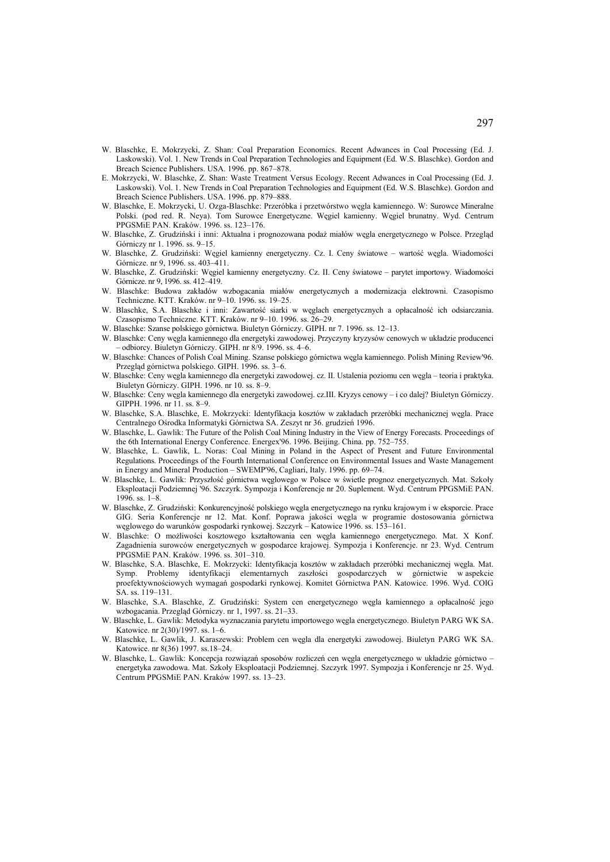- W. Blaschke, E. Mokrzycki, Z. Shan: Coal Preparation Economics. Recent Adwances in Coal Processing (Ed. J. Laskowski). Vol. 1. New Trends in Coal Preparation Technologies and Equipment (Ed. W.S. Blaschke). Gordon and Breach Science Publishers. USA. 1996. pp. 867–878.
- E. Mokrzycki, W. Blaschke, Z. Shan: Waste Treatment Versus Ecology. Recent Adwances in Coal Processing (Ed. J. Laskowski). Vol. 1. New Trends in Coal Preparation Technologies and Equipment (Ed. W.S. Blaschke). Gordon and Breach Science Publishers. USA. 1996. pp. 879–888.
- W. Blaschke, E. Mokrzycki, U. Ozga-Blaschke: Przeróbka i przetwórstwo węgla kamiennego. W: Surowce Mineralne Polski. (pod red. R. Neya). Tom Surowce Energetyczne. Węgiel kamienny. Węgiel brunatny. Wyd. Centrum PPGSMiE PAN. Kraków. 1996. ss. 123–176.
- W. Blaschke, Z. Grudziński i inni: Aktualna i prognozowana podaż miałów węgla energetycznego w Polsce. Przegląd Górniczy nr 1. 1996. ss. 9–15.
- W. Blaschke, Z. Grudziński: Węgiel kamienny energetyczny. Cz. I. Ceny światowe wartość węgla. Wiadomości Górnicze. nr 9, 1996. ss. 403–411.
- W. Blaschke, Z. Grudziński: Węgiel kamienny energetyczny. Cz. II. Ceny światowe parytet importowy. Wiadomości Górnicze. nr 9, 1996. ss. 412–419.
- W. Blaschke: Budowa zakładów wzbogacania miałów energetycznych a modernizacja elektrowni. Czasopismo Techniczne. KTT. Kraków. nr 9–10. 1996. ss. 19–25.
- W. Blaschke, S.A. Blaschke i inni: Zawartość siarki w węglach energetycznych a opłacalność ich odsiarczania. Czasopismo Techniczne. KTT. Kraków. nr 9–10. 1996. ss. 26–29.
- W. Blaschke: Szanse polskiego górnictwa. Biuletyn Górniczy. GIPH. nr 7. 1996. ss. 12–13.
- W. Blaschke: Ceny węgla kamiennego dla energetyki zawodowej. Przyczyny kryzysów cenowych w układzie producenci – odbiorcy. Biuletyn Górniczy. GIPH. nr 8/9. 1996. ss. 4–6.
- W. Blaschke: Chances of Polish Coal Mining. Szanse polskiego górnictwa węgla kamiennego. Polish Mining Review'96. Przegląd górnictwa polskiego. GIPH. 1996. ss. 3–6.
- W. Blaschke: Ceny węgla kamiennego dla energetyki zawodowej. cz. II. Ustalenia poziomu cen węgla teoria i praktyka. Biuletyn Górniczy. GIPH. 1996. nr 10. ss. 8–9.
- W. Blaschke: Ceny węgla kamiennego dla energetyki zawodowej. cz.III. Kryzys cenowy i co dalej? Biuletyn Górniczy. GIPPH. 1996. nr 11. ss. 8–9.
- W. Blaschke, S.A. Blaschke, E. Mokrzycki: Identyfikacja kosztów w zakładach przeróbki mechanicznej węgla. Prace Centralnego Ośrodka Informatyki Górnictwa SA. Zeszyt nr 36. grudzień 1996.
- W. Blaschke, L. Gawlik: The Future of the Polish Coal Mining Industry in the View of Energy Forecasts. Proceedings of the 6th International Energy Conference. Energex'96. 1996. Beijing. China. pp. 752–755.
- W. Blaschke, L. Gawlik, L. Noras: Coal Mining in Poland in the Aspect of Present and Future Environmental Regulations. Proceedings of the Fourth International Conference on Environmental Issues and Waste Management in Energy and Mineral Production – SWEMP'96, Cagliari, Italy. 1996. pp. 69–74.
- W. Blaschke, L. Gawlik: Przyszłość górnictwa węglowego w Polsce w świetle prognoz energetycznych. Mat. Szkoły Eksploatacji Podziemnej '96. Szczyrk. Sympozja i Konferencje nr 20. Suplement. Wyd. Centrum PPGSMiE PAN. 1996. ss. 1–8.
- W. Blaschke, Z. Grudziński: Konkurencyjność polskiego węgla energetycznego na rynku krajowym i w eksporcie. Prace GIG. Seria Konferencje nr 12. Mat. Konf. Poprawa jakości węgla w programie dostosowania górnictwa węglowego do warunków gospodarki rynkowej. Szczyrk – Katowice 1996. ss. 153–161.
- W. Blaschke: O możliwości kosztowego kształtowania cen węgla kamiennego energetycznego. Mat. X Konf. Zagadnienia surowców energetycznych w gospodarce krajowej. Sympozja i Konferencje. nr 23. Wyd. Centrum PPGSMiE PAN. Kraków. 1996. ss. 301–310.
- W. Blaschke, S.A. Blaschke, E. Mokrzycki: Identyfikacja kosztów w zakładach przeróbki mechanicznej węgla. Mat. Symp. Problemy identyfikacji elementarnych zaszłości gospodarczych w górnictwie w aspekcie proefektywnościowych wymagań gospodarki rynkowej. Komitet Górnictwa PAN. Katowice. 1996. Wyd. COIG SA. ss. 119–131.
- W. Blaschke, S.A. Blaschke, Z. Grudziński: System cen energetycznego węgla kamiennego a opłacalność jego wzbogacania. Przegląd Górniczy. nr 1, 1997. ss. 21–33.
- W. Blaschke, L. Gawlik: Metodyka wyznaczania parytetu importowego węgla energetycznego. Biuletyn PARG WK SA. Katowice. nr 2(30)/1997. ss. 1–6.
- W. Blaschke, L. Gawlik, J. Karaszewski: Problem cen węgla dla energetyki zawodowej. Biuletyn PARG WK SA. Katowice. nr 8(36) 1997. ss.18–24.
- W. Blaschke, L. Gawlik: Koncepcja rozwiązań sposobów rozliczeń cen węgla energetycznego w układzie górnictwo energetyka zawodowa. Mat. Szkoły Eksploatacji Podziemnej. Szczyrk 1997. Sympozja i Konferencje nr 25. Wyd. Centrum PPGSMiE PAN. Kraków 1997. ss. 13–23.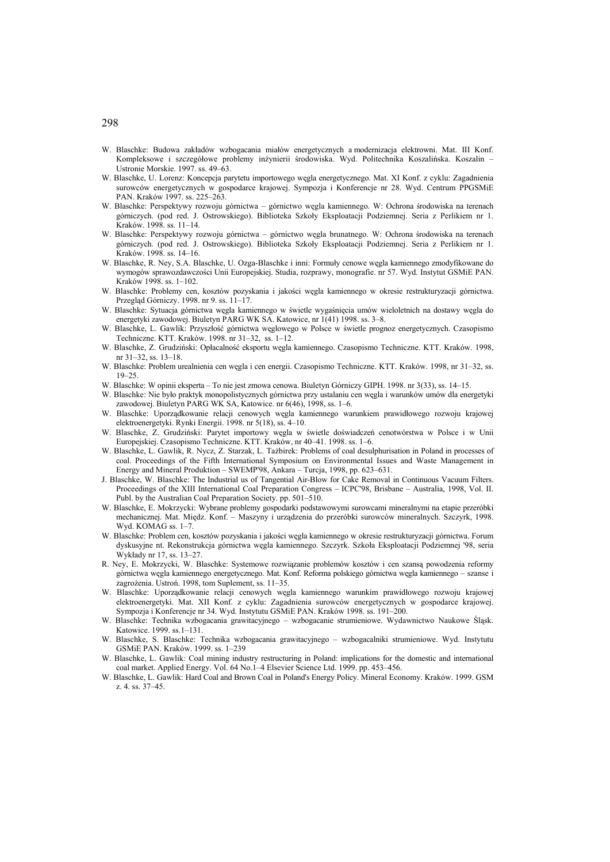- W. Blaschke: Budowa zakładów wzbogacania miałów energetycznych a modernizacja elektrowni. Mat. III Konf. Kompleksowe i szczegółowe problemy inżynierii środowiska. Wyd. Politechnika Koszalińska. Koszalin – Ustronie Morskie. 1997. ss. 49–63.
- W. Blaschke, U. Lorenz: Koncepcja parytetu importowego węgla energetycznego. Mat. XI Konf. z cyklu: Zagadnienia surowców energetycznych w gospodarce krajowej. Sympozja i Konferencje nr 28. Wyd. Centrum PPGSMiE PAN. Kraków 1997. ss. 225–263.
- W. Blaschke: Perspektywy rozwoju górnictwa górnictwo węgla kamiennego. W: Ochrona środowiska na terenach górniczych. (pod red. J. Ostrowskiego). Biblioteka Szkoły Eksploatacji Podziemnej. Seria z Perlikiem nr 1. Kraków. 1998. ss. 11–14.
- W. Blaschke: Perspektywy rozwoju górnictwa górnictwo węgla brunatnego. W: Ochrona środowiska na terenach górniczych. (pod red. J. Ostrowskiego). Biblioteka Szkoły Eksploatacji Podziemnej. Seria z Perlikiem nr 1. Kraków. 1998. ss. 14–16.
- W. Blaschke, R. Ney, S.A. Blaschke, U. Ozga-Blaschke i inni: Formuły cenowe węgla kamiennego zmodyfikowane do wymogów sprawozdawczości Unii Europejskiej. Studia, rozprawy, monografie. nr 57. Wyd. Instytut GSMiE PAN. Kraków 1998. ss. 1–102.
- W. Blaschke: Problemy cen, kosztów pozyskania i jakości węgla kamiennego w okresie restrukturyzacji górnictwa. Przegląd Górniczy. 1998. nr 9. ss. 11–17.
- W. Blaschke: Sytuacja górnictwa węgla kamiennego w świetle wygaśnięcia umów wieloletnich na dostawy węgla do energetyki zawodowej. Biuletyn PARG WK SA. Katowice, nr 1(41) 1998. ss. 3–8.
- W. Blaschke, L. Gawlik: Przyszłość górnictwa węglowego w Polsce w świetle prognoz energetycznych. Czasopismo Techniczne. KTT. Kraków. 1998. nr 31–32, ss. 1–12.
- W. Blaschke, Z. Grudziński: Opłacalność eksportu węgla kamiennego. Czasopismo Techniczne. KTT. Kraków. 1998, nr 31–32, ss. 13–18.
- W. Blaschke: Problem urealnienia cen węgla i cen energii. Czasopismo Techniczne. KTT. Kraków. 1998, nr 31–32, ss. 19–25.
- W. Blaschke: W opinii eksperta To nie jest zmowa cenowa. Biuletyn Górniczy GIPH. 1998. nr 3(33), ss. 14–15.
- W. Blaschke: Nie było praktyk monopolistycznych górnictwa przy ustalaniu cen węgla i warunków umów dla energetyki zawodowej. Biuletyn PARG WK SA, Katowice. nr 6(46), 1998, ss. 1–6.
- W. Blaschke: Uporządkowanie relacji cenowych węgla kamiennego warunkiem prawidłowego rozwoju krajowej elektroenergetyki. Rynki Energii. 1998. nr 5(18), ss. 4–10.
- W. Blaschke, Z. Grudziński: Parytet importowy węgla w świetle doświadczeń cenotwórstwa w Polsce i w Unii Europejskiej. Czasopismo Techniczne. KTT. Kraków, nr 40–41. 1998. ss. 1–6.
- W. Blaschke, L. Gawlik, R. Nycz, Z. Starzak, L. Tażbirek: Problems of coal desulphurisation in Poland in processes of coal. Proceedings of the Fifth International Symposium on Environmental Issues and Waste Management in Energy and Mineral Produktion – SWEMP'98, Ankara – Turcja, 1998, pp. 623–631.
- J. Blaschke, W. Blaschke: The Industrial us of Tangential Air-Blow for Cake Removal in Continuous Vacuum Filters. Proceedings of the XIII International Coal Preparation Congress – ICPC'98, Brisbane – Australia, 1998, Vol. II. Publ. by the Australian Coal Preparation Society. pp. 501–510.
- W. Blaschke, E. Mokrzycki: Wybrane problemy gospodarki podstawowymi surowcami mineralnymi na etapie przeróbki mechanicznej. Mat. Międz. Konf. – Maszyny i urządzenia do przeróbki surowców mineralnych. Szczyrk, 1998. Wyd. KOMAG ss. 1–7.
- W. Blaschke: Problem cen, kosztów pozyskania i jakości węgla kamiennego w okresie restrukturyzacji górnictwa. Forum dyskusyjne nt. Rekonstrukcja górnictwa węgla kamiennego. Szczyrk. Szkoła Eksploatacji Podziemnej '98, seria Wykłady nr 17, ss. 13–27.
- R. Ney, E. Mokrzycki, W. Blaschke: Systemowe rozwiązanie problemów kosztów i cen szansą powodzenia reformy górnictwa węgla kamiennego energetycznego. Mat. Konf. Reforma polskiego górnictwa węgla kamiennego – szanse i zagrożenia. Ustroń. 1998, tom Suplement, ss. 11–35.
- W. Blaschke: Uporządkowanie relacji cenowych węgla kamiennego warunkim prawidłowego rozwoju krajowej elektroenergetyki. Mat. XII Konf. z cyklu: Zagadnienia surowców energetycznych w gospodarce krajowej. Sympozja i Konferencje nr 34. Wyd. Instytutu GSMiE PAN. Kraków 1998. ss. 191–200.
- W. Blaschke: Technika wzbogacania grawitacyjnego wzbogacanie strumieniowe. Wydawnictwo Naukowe Śląsk. Katowice. 1999. ss.1–131.
- W. Blaschke, S. Blaschke: Technika wzbogacania grawitacyjnego wzbogacalniki strumieniowe. Wyd. Instytutu GSMiE PAN. Kraków. 1999. ss. 1–239
- W. Blaschke, L. Gawlik: Coal mining industry restructuring in Poland: implications for the domestic and international coal market. Applied Energy. Vol. 64 No.1–4 Elsevier Science Ltd. 1999. pp. 453–456.
- W. Blaschke, L. Gawlik: Hard Coal and Brown Coal in Poland's Energy Policy. Mineral Economy. Kraków. 1999. GSM z. 4. ss. 37–45.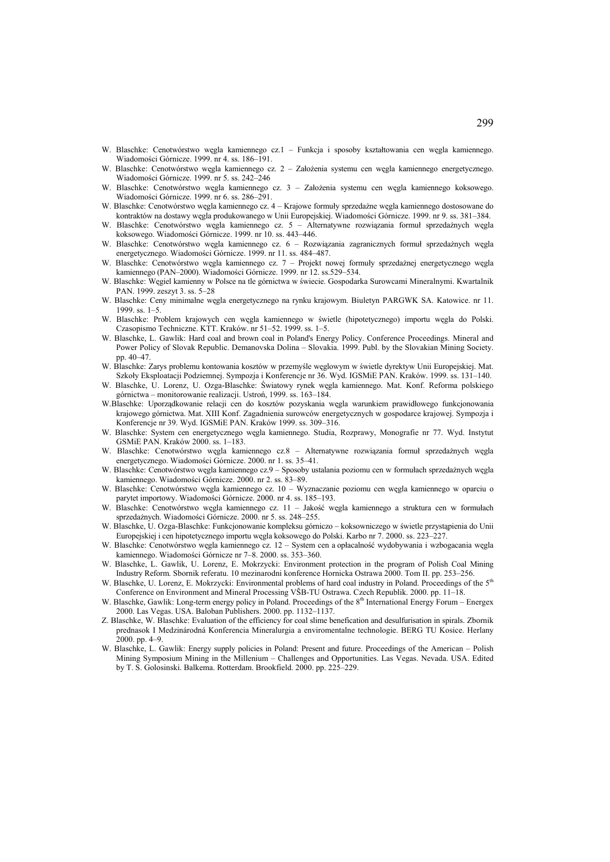- W. Blaschke: Cenotwórstwo węgla kamiennego cz.1 Funkcja i sposoby kształtowania cen węgla kamiennego. Wiadomości Górnicze. 1999. nr 4. ss. 186–191.
- W. Blaschke: Cenotwórstwo węgla kamiennego cz. 2 Założenia systemu cen węgla kamiennego energetycznego. Wiadomości Górnicze. 1999. nr 5. ss. 242–246
- W. Blaschke: Cenotwórstwo węgla kamiennego cz. 3 Założenia systemu cen węgla kamiennego koksowego. Wiadomości Górnicze. 1999. nr 6. ss. 286–291.
- W. Blaschke: Cenotwórstwo węgla kamiennego cz. 4 Krajowe formuły sprzedażne węgla kamiennego dostosowane do kontraktów na dostawy węgla produkowanego w Unii Europejskiej. Wiadomości Górnicze. 1999. nr 9. ss. 381–384.
- W. Blaschke: Cenotwórstwo węgla kamiennego cz. 5 Alternatywne rozwiązania formuł sprzedażnych węgla koksowego. Wiadomości Górnicze. 1999. nr 10. ss. 443–446.
- W. Blaschke: Cenotwórstwo węgla kamiennego cz. 6 Rozwiązania zagranicznych formuł sprzedażnych węgla energetycznego. Wiadomości Górnicze. 1999. nr 11. ss. 484–487.
- W. Blaschke: Cenotwórstwo węgla kamiennego cz. 7 Projekt nowej formuły sprzedażnej energetycznego węgla kamiennego (PAN–2000). Wiadomości Górnicze. 1999. nr 12. ss.529–534.
- W. Blaschke: Węgiel kamienny w Polsce na tle górnictwa w świecie. Gospodarka Surowcami Mineralnymi. Kwartalnik PAN. 1999. zeszyt 3. ss. 5–28
- W. Blaschke: Ceny minimalne węgla energetycznego na rynku krajowym. Biuletyn PARGWK SA. Katowice. nr 11. 1999. ss. 1–5.
- W. Blaschke: Problem krajowych cen węgla kamiennego w świetle (hipotetycznego) importu węgla do Polski. Czasopismo Techniczne. KTT. Kraków. nr 51–52. 1999. ss. 1–5.
- W. Blaschke, L. Gawlik: Hard coal and brown coal in Poland's Energy Policy. Conference Proceedings. Mineral and Power Policy of Slovak Republic. Demanovska Dolina – Slovakia. 1999. Publ. by the Slovakian Mining Society. pp. 40–47.
- W. Blaschke: Zarys problemu kontowania kosztów w przemyśle węglowym w świetle dyrektyw Unii Europejskiej. Mat. Szkoły Eksploatacji Podziemnej. Sympozja i Konferencje nr 36. Wyd. IGSMiE PAN. Kraków. 1999. ss. 131–140.
- W. Blaschke, U. Lorenz, U. Ozga-Blaschke: Światowy rynek węgla kamiennego. Mat. Konf. Reforma polskiego górnictwa – monitorowanie realizacji. Ustroń, 1999. ss. 163–184.
- W.Blaschke: Uporządkowanie relacji cen do kosztów pozyskania węgla warunkiem prawidłowego funkcjonowania krajowego górnictwa. Mat. XIII Konf. Zagadnienia surowców energetycznych w gospodarce krajowej. Sympozja i Konferencje nr 39. Wyd. IGSMiE PAN. Kraków 1999. ss. 309–316.
- W. Blaschke: System cen energetycznego węgla kamiennego. Studia, Rozprawy, Monografie nr 77. Wyd. Instytut GSMiE PAN. Kraków 2000. ss. 1–183.
- W. Blaschke: Cenotwórstwo węgla kamiennego cz.8 Alternatywne rozwiązania formuł sprzedażnych węgla energetycznego. Wiadomości Górnicze. 2000. nr 1. ss. 35–41.
- W. Blaschke: Cenotwórstwo węgla kamiennego cz.9 Sposoby ustalania poziomu cen w formułach sprzedażnych węgla kamiennego. Wiadomości Górnicze. 2000. nr 2. ss. 83–89.
- W. Blaschke: Cenotwórstwo węgla kamiennego cz. 10 Wyznaczanie poziomu cen węgla kamiennego w oparciu o parytet importowy. Wiadomości Górnicze. 2000. nr 4. ss. 185–193.
- W. Blaschke: Cenotwórstwo węgla kamiennego cz. 11 Jakość węgla kamiennego a struktura cen w formułach sprzedażnych. Wiadomości Górnicze. 2000. nr 5. ss. 248–255.
- W. Blaschke, U. Ozga-Blaschke: Funkcjonowanie kompleksu górniczo koksowniczego w świetle przystąpienia do Unii Europejskiej i cen hipotetycznego importu węgla koksowego do Polski. Karbo nr 7. 2000. ss. 223–227.
- W. Blaschke: Cenotwórstwo węgla kamiennego cz. 12 System cen a opłacalność wydobywania i wzbogacania węgla kamiennego. Wiadomości Górnicze nr 7–8. 2000. ss. 353–360.
- W. Blaschke, L. Gawlik, U. Lorenz, E. Mokrzycki: Environment protection in the program of Polish Coal Mining Industry Reform. Sbornik referatu. 10 mezinarodni konference Hornicka Ostrawa 2000. Tom II. pp. 253–256.
- W. Blaschke, U. Lorenz, E. Mokrzycki: Environmental problems of hard coal industry in Poland. Proceedings of the 5<sup>th</sup> Conference on Environment and Mineral Processing VŠB-TU Ostrawa. Czech Republik. 2000. pp. 11–18.
- W. Blaschke, Gawlik: Long-term energy policy in Poland. Proceedings of the 8<sup>th</sup> International Energy Forum Energex 2000. Las Vegas. USA. Baloban Publishers. 2000. pp. 1132–1137.
- Z. Blaschke, W. Blaschke: Evaluation of the efficiency for coal slime benefication and desulfurisation in spirals. Zbornik prednasok I Medzinárodná Konferencia Mineralurgia a enviromentalne technologie. BERG TU Kosice. Herlany 2000. pp. 4–9.
- W. Blaschke, L. Gawlik: Energy supply policies in Poland: Present and future. Proceedings of the American Polish Mining Symposium Mining in the Millenium – Challenges and Opportunities. Las Vegas. Nevada. USA. Edited by T. S. Golosinski. Balkema. Rotterdam. Brookfield. 2000. pp. 225–229.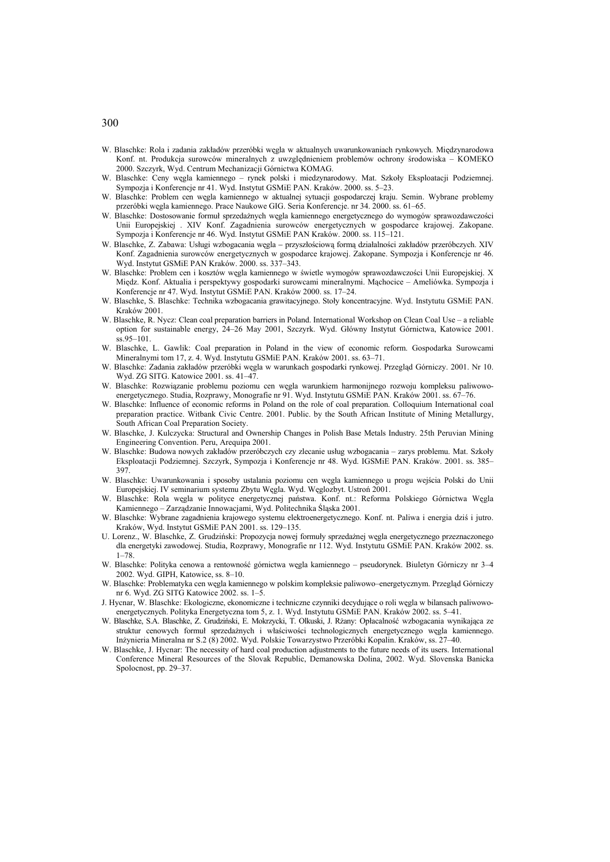- W. Blaschke: Rola i zadania zakładów przeróbki węgla w aktualnych uwarunkowaniach rynkowych. Międzynarodowa Konf. nt. Produkcja surowców mineralnych z uwzględnieniem problemów ochrony środowiska – KOMEKO 2000. Szczyrk, Wyd. Centrum Mechanizacji Górnictwa KOMAG.
- W. Blaschke: Ceny węgla kamiennego rynek polski i miedzynarodowy. Mat. Szkoły Eksploatacji Podziemnej. Sympozja i Konferencje nr 41. Wyd. Instytut GSMiE PAN. Kraków. 2000. ss. 5–23.
- W. Blaschke: Problem cen węgla kamiennego w aktualnej sytuacji gospodarczej kraju. Semin. Wybrane problemy przeróbki węgla kamiennego. Prace Naukowe GIG. Seria Konferencje. nr 34. 2000. ss. 61–65.
- W. Blaschke: Dostosowanie formuł sprzedażnych węgla kamiennego energetycznego do wymogów sprawozdawczości Unii Europejskiej . XIV Konf. Zagadnienia surowców energetycznych w gospodarce krajowej. Zakopane. Sympozja i Konferencje nr 46. Wyd. Instytut GSMiE PAN Kraków. 2000. ss. 115–121.
- W. Blaschke, Z. Zabawa: Usługi wzbogacania węgla − przyszłościową formą działalności zakładów przeróbczych. XIV Konf. Zagadnienia surowców energetycznych w gospodarce krajowej. Zakopane. Sympozja i Konferencje nr 46. Wyd. Instytut GSMiE PAN Kraków. 2000. ss. 337–343.
- W. Blaschke: Problem cen i kosztów węgla kamiennego w świetle wymogów sprawozdawczości Unii Europejskiej. X Międz. Konf. Aktualia i perspektywy gospodarki surowcami mineralnymi. Mąchocice – Ameliówka. Sympozja i Konferencje nr 47. Wyd. Instytut GSMiE PAN. Kraków 2000. ss. 17–24.
- W. Blaschke, S. Blaschke: Technika wzbogacania grawitacyjnego. Stoły koncentracyjne. Wyd. Instytutu GSMiE PAN. Kraków 2001.
- W. Blaschke, R. Nycz: Clean coal preparation barriers in Poland. International Workshop on Clean Coal Use a reliable option for sustainable energy, 24–26 May 2001, Szczyrk. Wyd. Główny Instytut Górnictwa, Katowice 2001. ss.95–101.
- W. Blaschke, L. Gawlik: Coal preparation in Poland in the view of economic reform. Gospodarka Surowcami Mineralnymi tom 17, z. 4. Wyd. Instytutu GSMiE PAN. Kraków 2001. ss. 63–71.
- W. Blaschke: Zadania zakładów przeróbki węgla w warunkach gospodarki rynkowej. Przegląd Górniczy. 2001. Nr 10. Wyd. ZG SITG. Katowice 2001. ss. 41–47.
- W. Blaschke: Rozwiązanie problemu poziomu cen węgla warunkiem harmonijnego rozwoju kompleksu paliwowoenergetycznego. Studia, Rozprawy, Monografie nr 91. Wyd. Instytutu GSMiE PAN. Kraków 2001. ss. 67–76.
- W. Blaschke: Influence of economic reforms in Poland on the role of coal preparation. Colloquium International coal preparation practice. Witbank Civic Centre. 2001. Public. by the South African Institute of Mining Metallurgy, South African Coal Preparation Society.
- W. Blaschke, J. Kulczycka: Structural and Ownership Changes in Polish Base Metals Industry. 25th Peruvian Mining Engineering Convention. Peru, Arequipa 2001.
- W. Blaschke: Budowa nowych zakładów przeróbczych czy zlecanie usług wzbogacania zarys problemu. Mat. Szkoły Eksploatacji Podziemnej. Szczyrk, Sympozja i Konferencje nr 48. Wyd. IGSMiE PAN. Kraków. 2001. ss. 385– 397.
- W. Blaschke: Uwarunkowania i sposoby ustalania poziomu cen węgla kamiennego u progu wejścia Polski do Unii Europejskiej. IV seminarium systemu Zbytu Węgla. Wyd. Węglozbyt. Ustroń 2001.
- W. Blaschke: Rola węgla w polityce energetycznej państwa. Konf. nt.: Reforma Polskiego Górnictwa Węgla Kamiennego – Zarządzanie Innowacjami, Wyd. Politechnika Śląska 2001.
- W. Blaschke: Wybrane zagadnienia krajowego systemu elektroenergetycznego. Konf. nt. Paliwa i energia dziś i jutro. Kraków, Wyd. Instytut GSMiE PAN 2001. ss. 129–135.
- U. Lorenz., W. Blaschke, Z. Grudziński: Propozycja nowej formuły sprzedażnej węgla energetycznego przeznaczonego dla energetyki zawodowej. Studia, Rozprawy, Monografie nr 112. Wyd. Instytutu GSMiE PAN. Kraków 2002. ss. 1–78.
- W. Blaschke: Polityka cenowa a rentowność górnictwa węgla kamiennego pseudorynek. Biuletyn Górniczy nr 3–4 2002. Wyd. GIPH, Katowice, ss. 8–10.
- W. Blaschke: Problematyka cen węgla kamiennego w polskim kompleksie paliwowo–energetycznym. Przegląd Górniczy nr 6. Wyd. ZG SITG Katowice 2002. ss. 1–5.
- J. Hycnar, W. Blaschke: Ekologiczne, ekonomiczne i techniczne czynniki decydujące o roli węgla w bilansach paliwowoenergetycznych. Polityka Energetyczna tom 5, z. 1. Wyd. Instytutu GSMiE PAN. Kraków 2002. ss. 5–41.
- W. Blaschke, S.A. Blaschke, Z. Grudziński, E. Mokrzycki, T. Olkuski, J. Rżany: Opłacalność wzbogacania wynikająca ze struktur cenowych formuł sprzedażnych i właściwości technologicznych energetycznego węgla kamiennego. Inżynieria Mineralna nr S.2 (8) 2002. Wyd. Polskie Towarzystwo Przeróbki Kopalin. Kraków, ss. 27–40.
- W. Blaschke, J. Hycnar: The necessity of hard coal production adjustments to the future needs of its users. International Conference Mineral Resources of the Slovak Republic, Demanowska Dolina, 2002. Wyd. Slovenska Banicka Spolocnost, pp. 29–37.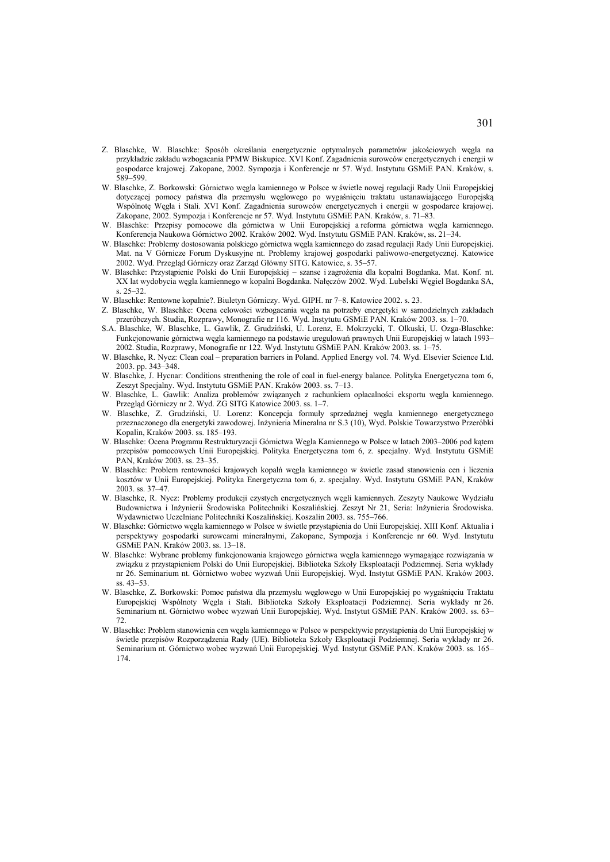- Z. Blaschke, W. Blaschke: Sposób określania energetycznie optymalnych parametrów jakościowych węgla na przykładzie zakładu wzbogacania PPMW Biskupice. XVI Konf. Zagadnienia surowców energetycznych i energii w gospodarce krajowej. Zakopane, 2002. Sympozja i Konferencje nr 57. Wyd. Instytutu GSMiE PAN. Kraków, s. 589–599.
- W. Blaschke, Z. Borkowski: Górnictwo węgla kamiennego w Polsce w świetle nowej regulacji Rady Unii Europejskiej dotyczącej pomocy państwa dla przemysłu węglowego po wygaśnięciu traktatu ustanawiającego Europejską Wspólnotę Węgla i Stali. XVI Konf. Zagadnienia surowców energetycznych i energii w gospodarce krajowej. Zakopane, 2002. Sympozja i Konferencje nr 57. Wyd. Instytutu GSMiE PAN. Kraków, s. 71–83.
- W. Blaschke: Przepisy pomocowe dla górnictwa w Unii Europejskiej a reforma górnictwa węgla kamiennego. Konferencja Naukowa Górnictwo 2002. Kraków 2002. Wyd. Instytutu GSMiE PAN. Kraków, ss. 21–34.
- W. Blaschke: Problemy dostosowania polskiego górnictwa węgla kamiennego do zasad regulacji Rady Unii Europejskiej. Mat. na V Górnicze Forum Dyskusyjne nt. Problemy krajowej gospodarki paliwowo-energetycznej. Katowice 2002. Wyd. Przegląd Górniczy oraz Zarząd Główny SITG. Katowice, s. 35–57.
- W. Blaschke: Przystąpienie Polski do Unii Europejskiej szanse i zagrożenia dla kopalni Bogdanka. Mat. Konf. nt. XX lat wydobycia węgla kamiennego w kopalni Bogdanka. Nałęczów 2002. Wyd. Lubelski Węgiel Bogdanka SA,  $s. 25-32$
- W. Blaschke: Rentowne kopalnie?. Biuletyn Górniczy. Wyd. GIPH. nr 7–8. Katowice 2002. s. 23.
- Z. Blaschke, W. Blaschke: Ocena celowości wzbogacania węgla na potrzeby energetyki w samodzielnych zakładach przeróbczych. Studia, Rozprawy, Monografie nr 116. Wyd. Instytutu GSMiE PAN. Kraków 2003. ss. 1–70.
- S.A. Blaschke, W. Blaschke, L. Gawlik, Z. Grudziński, U. Lorenz, E. Mokrzycki, T. Olkuski, U. Ozga-Blaschke: Funkcjonowanie górnictwa węgla kamiennego na podstawie uregulowań prawnych Unii Europejskiej w latach 1993– 2002. Studia, Rozprawy, Monografie nr 122. Wyd. Instytutu GSMiE PAN. Kraków 2003. ss. 1–75.
- W. Blaschke, R. Nycz: Clean coal preparation barriers in Poland. Applied Energy vol. 74. Wyd. Elsevier Science Ltd. 2003. pp. 343–348.
- W. Blaschke, J. Hycnar: Conditions strenthening the role of coal in fuel-energy balance. Polityka Energetyczna tom 6, Zeszyt Specjalny. Wyd. Instytutu GSMiE PAN. Kraków 2003. ss. 7–13.
- W. Blaschke, L. Gawlik: Analiza problemów związanych z rachunkiem opłacalności eksportu węgla kamiennego. Przegląd Górniczy nr 2. Wyd. ZG SITG Katowice 2003. ss. 1–7.
- W. Blaschke, Z. Grudziński, U. Lorenz: Koncepcja formuły sprzedażnej węgla kamiennego energetycznego przeznaczonego dla energetyki zawodowej. Inżynieria Mineralna nr S.3 (10), Wyd. Polskie Towarzystwo Przeróbki Kopalin, Kraków 2003. ss. 185–193.
- W. Blaschke: Ocena Programu Restrukturyzacji Górnictwa Węgla Kamiennego w Polsce w latach 2003–2006 pod kątem przepisów pomocowych Unii Europejskiej. Polityka Energetyczna tom 6, z. specjalny. Wyd. Instytutu GSMiE PAN, Kraków 2003. ss. 23–35.
- W. Blaschke: Problem rentowności krajowych kopalń węgla kamiennego w świetle zasad stanowienia cen i liczenia kosztów w Unii Europejskiej. Polityka Energetyczna tom 6, z. specjalny. Wyd. Instytutu GSMiE PAN, Kraków 2003. ss. 37–47.
- W. Blaschke, R. Nycz: Problemy produkcji czystych energetycznych węgli kamiennych. Zeszyty Naukowe Wydziału Budownictwa i Inżynierii Środowiska Politechniki Koszalińskiej. Zeszyt Nr 21, Seria: Inżynieria Środowiska. Wydawnictwo Uczelniane Politechniki Koszalińskiej. Koszalin 2003. ss. 755–766.
- W. Blaschke: Górnictwo węgla kamiennego w Polsce w świetle przystąpienia do Unii Europejskiej. XIII Konf. Aktualia i perspektywy gospodarki surowcami mineralnymi, Zakopane, Sympozja i Konferencje nr 60. Wyd. Instytutu GSMiE PAN. Kraków 2003. ss. 13–18.
- W. Blaschke: Wybrane problemy funkcjonowania krajowego górnictwa węgla kamiennego wymagające rozwiązania w związku z przystąpieniem Polski do Unii Europejskiej. Biblioteka Szkoły Eksploatacji Podziemnej. Seria wykłady nr 26. Seminarium nt. Górnictwo wobec wyzwań Unii Europejskiej. Wyd. Instytut GSMiE PAN. Kraków 2003. ss. 43–53.
- W. Blaschke, Z. Borkowski: Pomoc państwa dla przemysłu węglowego w Unii Europejskiej po wygaśnięciu Traktatu Europejskiej Wspólnoty Węgla i Stali. Biblioteka Szkoły Eksploatacji Podziemnej. Seria wykłady nr 26. Seminarium nt. Górnictwo wobec wyzwań Unii Europejskiej. Wyd. Instytut GSMiE PAN. Kraków 2003. ss. 63– 72.
- W. Blaschke: Problem stanowienia cen węgla kamiennego w Polsce w perspektywie przystąpienia do Unii Europejskiej w świetle przepisów Rozporządzenia Rady (UE). Biblioteka Szkoły Eksploatacji Podziemnej. Seria wykłady nr 26. Seminarium nt. Górnictwo wobec wyzwań Unii Europejskiej. Wyd. Instytut GSMiE PAN. Kraków 2003. ss. 165– 174.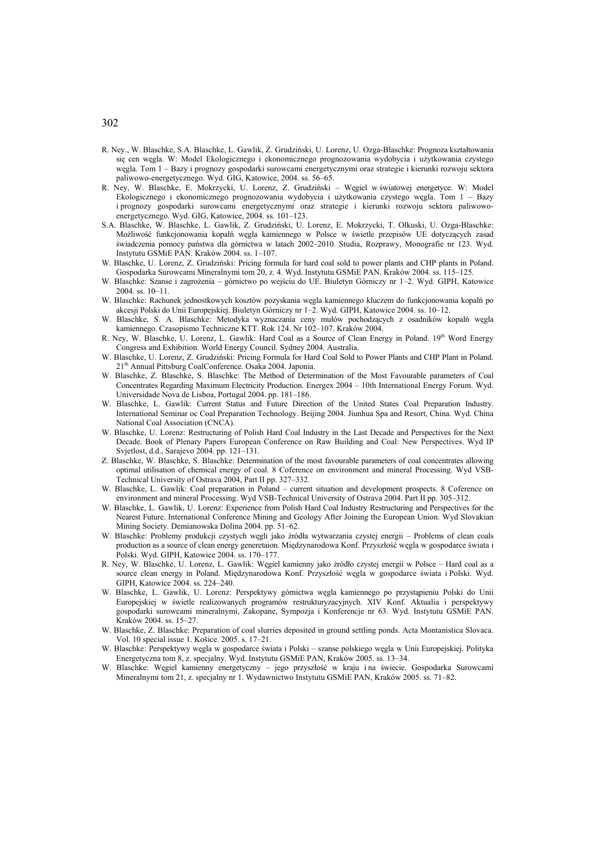- R. Ney., W. Blaschke, S.A. Blaschke, L. Gawlik, Z. Grudziński, U. Lorenz, U. Ozga-Blaschke: Prognoza kształtowania się cen węgla. W: Model Ekologicznego i ekonomicznego prognozowania wydobycia i użytkowania czystego węgla. Tom 1 – Bazy i prognozy gospodarki surowcami energetycznymi oraz strategie i kierunki rozwoju sektora paliwowo-energetycznego. Wyd. GIG, Katowice, 2004. ss. 56–65.
- R. Ney, W. Blaschke, E. Mokrzycki, U. Lorenz, Z. Grudziński Węgiel w światowej energetyce. W: Model Ekologicznego i ekonomicznego prognozowania wydobycia i użytkowania czystego węgla. Tom 1 – Bazy i prognozy gospodarki surowcami energetycznymi oraz strategie i kierunki rozwoju sektora paliwowoenergetycznego. Wyd. GIG, Katowice, 2004. ss. 101–123.
- S.A. Blaschke, W. Blaschke, L. Gawlik, Z. Grudziński, U. Lorenz, E. Mokrzycki, T. Olkuski, U. Ozga-Blaschke: Możliwość funkcjonowania kopalń węgla kamiennego w Polsce w świetle przepisów UE dotyczących zasad świadczenia pomocy państwa dla górnictwa w latach 2002–2010. Studia, Rozprawy, Monografie nr 123. Wyd. Instytutu GSMiE PAN. Kraków 2004. ss. 1–107.
- W. Blaschke, U. Lorenz, Z. Grudziński: Pricing formula for hard coal sold to power plants and CHP plants in Poland. Gospodarka Surowcami Mineralnymi tom 20, z. 4. Wyd. Instytutu GSMiE PAN. Kraków 2004. ss. 115–125.
- W. Blaschke: Szanse i zagrożenia górnictwo po wejściu do UE. Biuletyn Górniczy nr 1–2. Wyd. GIPH, Katowice 2004 ss. 10–11.
- W. Blaschke: Rachunek jednostkowych kosztów pozyskania węgla kamiennego kluczem do funkcjonowania kopalń po akcesji Polski do Unii Europejskiej. Biuletyn Górniczy nr 1–2. Wyd. GIPH, Katowice 2004. ss. 10–12.
- W. Blaschke, S. A. Blaschke: Metodyka wyznaczania ceny mułów pochodzących z osadników kopalń węgla kamiennego. Czasopismo Techniczne KTT. Rok 124. Nr 102–107. Kraków 2004.
- R. Ney, W. Blaschke, U. Lorenz, L. Gawlik: Hard Coal as a Source of Clean Energy in Poland. 19th Word Energy Congress and Exhibition. World Energy Council. Sydney 2004. Australia.
- W. Blaschke, U. Lorenz, Z. Grudziński: Pricing Formula for Hard Coal Sold to Power Plants and CHP Plant in Poland. 21th Annual Pittsburg CoalConference. Osaka 2004. Japonia.
- W. Blaschke, Z. Blaschke, S. Blaschke: The Method of Determination of the Most Favourable parameters of Coal Concentrates Regarding Maximum Electricity Production. Energex 2004 – 10th International Energy Forum. Wyd. Universidade Nova de Lisboa, Portugal 2004. pp. 181–186.
- W. Blaschke, L. Gawlik: Current Status and Future Direction of the United States Coal Preparation Industry. International Seminar oc Coal Preparation Technology. Beijing 2004. Jiunhua Spa and Resort, China. Wyd. China National Coal Association (CNCA).
- W. Blaschke, U. Lorenz: Restructuring of Polish Hard Coal Industry in the Last Decade and Perspectives for the Next Decade. Book of Plenary Papers European Conference on Raw Building and Coal: New Perspectives. Wyd IP Svjetlost, d.d., Sarajevo 2004. pp. 121–131.
- Z. Blaschke, W. Blaschke, S. Blaschke: Determination of the most favourable parameters of coal concentrates allowing optimal utilisation of chemical energy of coal. 8 Coference on environment and mineral Processing. Wyd VSB-Technical University of Ostrava 2004, Part II pp. 327–332.
- W. Blaschke, L. Gawlik: Coal preparation in Poland current situation and development prospects. 8 Coference on environment and mineral Processing. Wyd VSB-Technical University of Ostrava 2004. Part II pp. 305–312.
- W. Blaschke, L. Gawlik, U. Lorenz: Experience from Polish Hard Coal Industry Restructuring and Perspectives for the Nearest Future. International Conference Mining and Geology After Joining the European Union. Wyd Slovakian Mining Society. Demianowska Dolina 2004. pp. 51–62.
- W. Blaschke: Problemy produkcji czystych węgli jako źródła wytwarzania czystej energii Problems of clean coals production as a source of clean energy generetaion. Międzynarodowa Konf. Przyszłość węgla w gospodarce świata i Polski. Wyd. GIPH, Katowice 2004. ss. 170–177.
- R. Ney, W. Blaschke, U. Lorenz, L. Gawlik: Węgiel kamienny jako źródło czystej energii w Polsce Hard coal as a source clean energy in Poland. Międzynarodowa Konf. Przyszłość węgla w gospodarce świata i Polski. Wyd. GIPH, Katowice 2004. ss. 224–240.
- W. Blaschke, L. Gawlik, U. Lorenz: Perspektywy górnictwa węgla kamiennego po przystąpieniu Polski do Unii Europejskiej w świetle realizowanych programów restrukturyzacyjnych. XIV Konf. Aktualia i perspektywy gospodarki surowcami mineralnymi, Zakopane, Sympozja i Konferencje nr 63. Wyd. Instytutu GSMiE PAN. Kraków 2004. ss. 15–27.
- W. Blaschke, Z. Blaschke: Preparation of coal slurries deposited in ground settling ponds. Acta Montanistica Slovaca. Vol. 10 special issue 1. Košice. 2005. s. 17–21.
- W. Blaschke: Perspektywy węgla w gospodarce świata i Polski szanse polskiego węgla w Unii Europejskiej. Polityka Energetyczna tom 8, z. specjalny. Wyd. Instytutu GSMiE PAN, Kraków 2005. ss. 13–34.
- W. Blaschke: Węgiel kamienny energetyczny jego przyszłość w kraju i na świecie. Gospodarka Surowcami Mineralnymi tom 21, z. specjalny nr 1. Wydawnictwo Instytutu GSMiE PAN, Kraków 2005. ss. 71–82.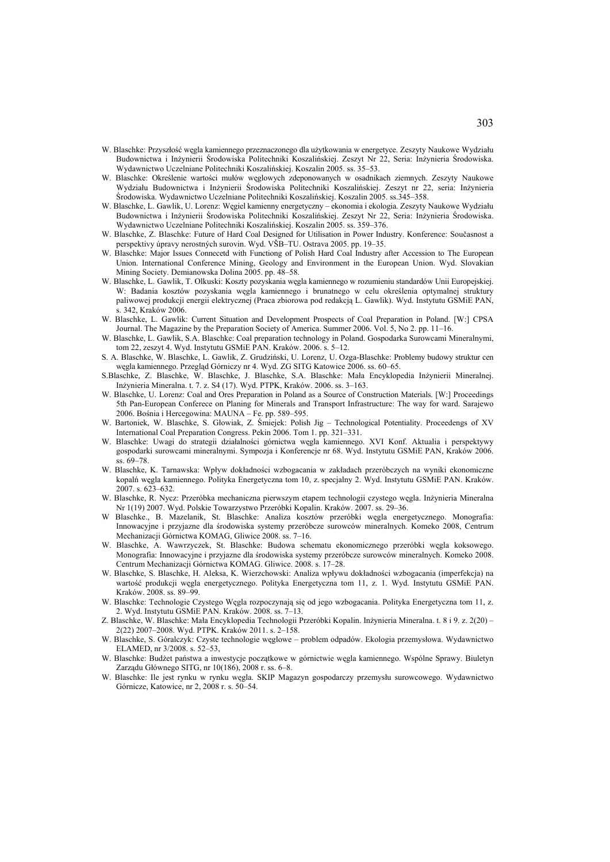- W. Blaschke: Przyszłość węgla kamiennego przeznaczonego dla użytkowania w energetyce. Zeszyty Naukowe Wydziału Budownictwa i Inżynierii Środowiska Politechniki Koszalińskiej. Zeszyt Nr 22, Seria: Inżynieria Środowiska. Wydawnictwo Uczelniane Politechniki Koszalińskiej. Koszalin 2005. ss. 35–53.
- W. Blaschke: Określenie wartości mułów węglowych zdeponowanych w osadnikach ziemnych. Zeszyty Naukowe Wydziału Budownictwa i Inżynierii Środowiska Politechniki Koszalińskiej. Zeszyt nr 22, seria: Inżynieria Środowiska. Wydawnictwo Uczelniane Politechniki Koszalińskiej. Koszalin 2005. ss.345–358.
- W. Blaschke, L. Gawlik, U. Lorenz: Węgiel kamienny energetyczny ekonomia i ekologia. Zeszyty Naukowe Wydziału Budownictwa i Inżynierii Środowiska Politechniki Koszalińskiej. Zeszyt Nr 22, Seria: Inżynieria Środowiska. Wydawnictwo Uczelniane Politechniki Koszalińskiej. Koszalin 2005. ss. 359–376.
- W. Blaschke, Z. Blaschke: Future of Hard Coal Designed for Utilisation in Power Industry. Konference: Současnost a perspektivy úpravy nerostných surovin. Wyd. VŠB–TU. Ostrava 2005. pp. 19–35.
- W. Blaschke: Major Issues Connecetd with Functiong of Polish Hard Coal Industry after Accession to The European Union. International Conference Mining, Geology and Environment in the European Union. Wyd. Slovakian Mining Society. Demianowska Dolina 2005. pp. 48–58.
- W. Blaschke, L. Gawlik, T. Olkuski: Koszty pozyskania węgla kamiennego w rozumieniu standardów Unii Europejskiej. W: Badania kosztów pozyskania węgla kamiennego i brunatnego w celu określenia optymalnej struktury paliwowej produkcji energii elektrycznej (Praca zbiorowa pod redakcją L. Gawlik). Wyd. Instytutu GSMiE PAN, s. 342, Kraków 2006.
- W. Blaschke, L. Gawlik: Current Situation and Development Prospects of Coal Preparation in Poland. [W:] CPSA Journal. The Magazine by the Preparation Society of America. Summer 2006. Vol. 5, No 2. pp. 11–16.
- W. Blaschke, L. Gawlik, S.A. Blaschke: Coal preparation technology in Poland. Gospodarka Surowcami Mineralnymi, tom 22, zeszyt 4. Wyd. Instytutu GSMiE PAN. Kraków. 2006. s. 5–12.
- S. A. Blaschke, W. Blaschke, L. Gawlik, Z. Grudziński, U. Lorenz, U. Ozga-Blaschke: Problemy budowy struktur cen węgla kamiennego. Przegląd Górniczy nr 4. Wyd. ZG SITG Katowice 2006. ss. 60–65.
- S.Blaschke, Z. Blaschke, W. Blaschke, J. Blaschke, S.A. Blaschke: Mała Encyklopedia Inżynierii Mineralnej. Inżynieria Mineralna. t. 7. z. S4 (17). Wyd. PTPK, Kraków. 2006. ss. 3–163.
- W. Blaschke, U. Lorenz: Coal and Ores Preparation in Poland as a Source of Construction Materials. [W:] Proceedings 5th Pan-European Conferece on Planing for Minerals and Transport Infrastructure: The way for ward. Sarajewo 2006. Bośnia i Hercegowina: MAUNA – Fe. pp. 589–595.
- W. Bartoniek, W. Blaschke, S. Głowiak, Z. Śmiejek: Polish Jig Technological Potentiality. Proceedengs of XV International Coal Preparation Congress. Pekin 2006. Tom 1. pp. 321–331.
- W. Blaschke: Uwagi do strategii działalności górnictwa węgla kamiennego. XVI Konf. Aktualia i perspektywy gospodarki surowcami mineralnymi. Sympozja i Konferencje nr 68. Wyd. Instytutu GSMiE PAN, Kraków 2006. ss. 69–78.
- W. Blaschke, K. Tarnawska: Wpływ dokładności wzbogacania w zakładach przeróbczych na wyniki ekonomiczne kopalń węgla kamiennego. Polityka Energetyczna tom 10, z. specjalny 2. Wyd. Instytutu GSMiE PAN. Kraków. 2007. s. 623–632.
- W. Blaschke, R. Nycz: Przeróbka mechaniczna pierwszym etapem technologii czystego węgla. Inżynieria Mineralna Nr 1(19) 2007. Wyd. Polskie Towarzystwo Przeróbki Kopalin. Kraków. 2007. ss. 29–36.
- W Blaschke., B. Mazelanik, St. Blaschke: Analiza kosztów przeróbki węgla energetycznego. Monografia: Innowacyjne i przyjazne dla środowiska systemy przeróbcze surowców mineralnych. Komeko 2008, Centrum Mechanizacji Górnictwa KOMAG, Gliwice 2008. ss. 7–16.
- W. Blaschke, A. Wawrzyczek, St. Blaschke: Budowa schematu ekonomicznego przeróbki węgla koksowego. Monografia: Innowacyjne i przyjazne dla środowiska systemy przeróbcze surowców mineralnych. Komeko 2008. Centrum Mechanizacji Górnictwa KOMAG. Gliwice. 2008. s. 17–28.
- W. Blaschke, S. Blaschke, H. Aleksa, K. Wierzchowski: Analiza wpływu dokładności wzbogacania (imperfekcja) na wartość produkcji węgla energetycznego. Polityka Energetyczna tom 11, z. 1. Wyd. Instytutu GSMiE PAN. Kraków. 2008. ss. 89–99.
- W. Blaschke: Technologie Czystego Węgla rozpoczynają się od jego wzbogacania. Polityka Energetyczna tom 11, z. 2. Wyd. Instytutu GSMiE PAN. Kraków. 2008. ss. 7–13.
- Z. Blaschke, W. Blaschke: Mała Encyklopedia Technologii Przeróbki Kopalin. Inżynieria Mineralna. t. 8 i 9. z. 2(20) 2(22) 2007–2008. Wyd. PTPK. Kraków 2011. s. 2–158.
- W. Blaschke, S. Góralczyk: Czyste technologie węglowe problem odpadów. Ekologia przemysłowa. Wydawnictwo ELAMED, nr 3/2008. s. 52–53,
- W. Blaschke: Budżet państwa a inwestycje początkowe w górnictwie węgla kamiennego. Wspólne Sprawy. Biuletyn Zarządu Głównego SITG, nr 10(186), 2008 r. ss. 6–8.
- W. Blaschke: Ile jest rynku w rynku węgla. SKIP Magazyn gospodarczy przemysłu surowcowego. Wydawnictwo Górnicze, Katowice, nr 2, 2008 r. s. 50–54.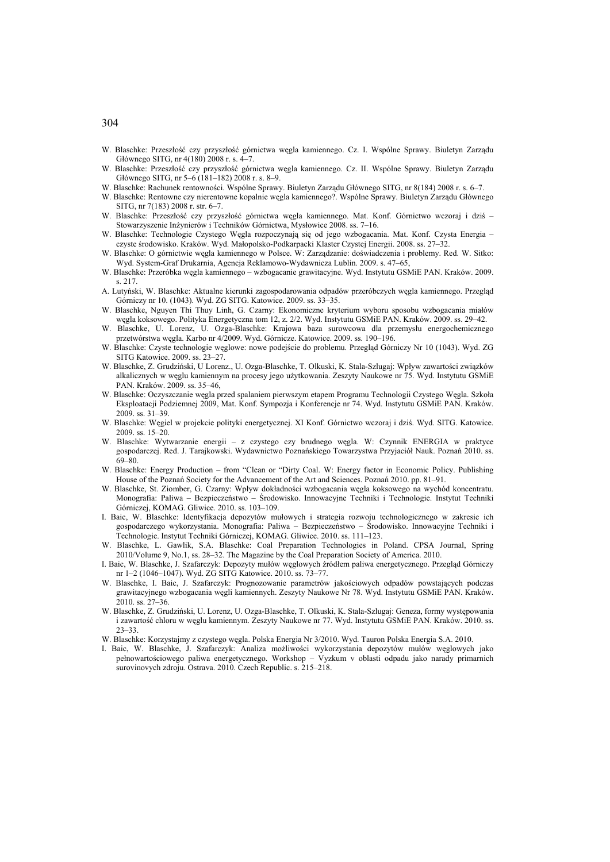- W. Blaschke: Przeszłość czy przyszłość górnictwa węgla kamiennego. Cz. I. Wspólne Sprawy. Biuletyn Zarządu Głównego SITG, nr 4(180) 2008 r. s. 4–7.
- W. Blaschke: Przeszłość czy przyszłość górnictwa węgla kamiennego. Cz. II. Wspólne Sprawy. Biuletyn Zarządu Głównego SITG, nr 5–6 (181–182) 2008 r. s. 8–9.
- W. Blaschke: Rachunek rentowności. Wspólne Sprawy. Biuletyn Zarządu Głównego SITG, nr 8(184) 2008 r. s. 6–7.
- W. Blaschke: Rentowne czy nierentowne kopalnie węgla kamiennego?. Wspólne Sprawy. Biuletyn Zarządu Głównego SITG, nr 7(183) 2008 r. str. 6–7.
- W. Blaschke: Przeszłość czy przyszłość górnictwa węgla kamiennego. Mat. Konf. Górnictwo wczoraj i dziś Stowarzyszenie Inżynierów i Techników Górnictwa, Mysłowice 2008. ss. 7–16.
- W. Blaschke: Technologie Czystego Węgla rozpoczynają się od jego wzbogacania. Mat. Konf. Czysta Energia czyste środowisko. Kraków. Wyd. Małopolsko-Podkarpacki Klaster Czystej Energii. 2008. ss. 27–32.
- W. Blaschke: O górnictwie węgla kamiennego w Polsce. W: Zarządzanie: doświadczenia i problemy. Red. W. Sitko: Wyd. System-Graf Drukarnia, Agencja Reklamowo-Wydawnicza Lublin. 2009. s. 47–65,
- W. Blaschke: Przeróbka węgla kamiennego wzbogacanie grawitacyjne. Wyd. Instytutu GSMiE PAN. Kraków. 2009. s. 217.
- A. Lutyński, W. Blaschke: Aktualne kierunki zagospodarowania odpadów przeróbczych węgla kamiennego. Przegląd Górniczy nr 10. (1043). Wyd. ZG SITG. Katowice. 2009. ss. 33–35.
- W. Blaschke, Nguyen Thi Thuy Linh, G. Czarny: Ekonomiczne kryterium wyboru sposobu wzbogacania miałów węgla koksowego. Polityka Energetyczna tom 12, z. 2/2. Wyd. Instytutu GSMiE PAN. Kraków. 2009. ss. 29–42.
- W. Blaschke, U. Lorenz, U. Ozga-Blaschke: Krajowa baza surowcowa dla przemysłu energochemicznego przetwórstwa węgla. Karbo nr 4/2009. Wyd. Górnicze. Katowice. 2009. ss. 190–196.
- W. Blaschke: Czyste technologie węglowe: nowe podejście do problemu. Przegląd Górniczy Nr 10 (1043). Wyd. ZG SITG Katowice. 2009. ss. 23–27.
- W. Blaschke, Z. Grudziński, U Lorenz., U. Ozga-Blaschke, T. Olkuski, K. Stala-Szlugaj: Wpływ zawartości związków alkalicznych w węglu kamiennym na procesy jego użytkowania. Zeszyty Naukowe nr 75. Wyd. Instytutu GSMiE PAN. Kraków. 2009. ss. 35–46,
- W. Blaschke: Oczyszczanie węgla przed spalaniem pierwszym etapem Programu Technologii Czystego Węgla. Szkoła Eksploatacji Podziemnej 2009, Mat. Konf. Sympozja i Konferencje nr 74. Wyd. Instytutu GSMiE PAN. Kraków. 2009. ss. 31–39.
- W. Blaschke: Węgiel w projekcie polityki energetycznej. XI Konf. Górnictwo wczoraj i dziś. Wyd. SITG. Katowice. 2009. ss. 15–20.
- W. Blaschke: Wytwarzanie energii z czystego czy brudnego węgla. W: Czynnik ENERGIA w praktyce gospodarczej. Red. J. Tarajkowski. Wydawnictwo Poznańskiego Towarzystwa Przyjaciół Nauk. Poznań 2010. ss. 69–80.
- W. Blaschke: Energy Production from "Clean or "Dirty Coal. W: Energy factor in Economic Policy. Publishing House of the Poznań Society for the Advancement of the Art and Sciences. Poznań 2010. pp. 81–91.
- W. Blaschke, St. Ziomber, G. Czarny: Wpływ dokładności wzbogacania węgla koksowego na wychód koncentratu. Monografia: Paliwa – Bezpieczeństwo – Środowisko. Innowacyjne Techniki i Technologie. Instytut Techniki Górniczej, KOMAG. Gliwice. 2010. ss. 103–109.
- I. Baic, W. Blaschke: Identyfikacja depozytów mułowych i strategia rozwoju technologicznego w zakresie ich gospodarczego wykorzystania. Monografia: Paliwa – Bezpieczeństwo – Środowisko. Innowacyjne Techniki i Technologie. Instytut Techniki Górniczej, KOMAG. Gliwice. 2010. ss. 111–123.
- W. Blaschke, L. Gawlik, S.A. Blaschke: Coal Preparation Technologies in Poland. CPSA Journal, Spring 2010/Volume 9, No.1, ss. 28–32. The Magazine by the Coal Preparation Society of America. 2010.
- I. Baic, W. Blaschke, J. Szafarczyk: Depozyty mułów węglowych źródłem paliwa energetycznego. Przegląd Górniczy nr 1–2 (1046–1047). Wyd. ZG SITG Katowice. 2010. ss. 73–77.
- W. Blaschke, I. Baic, J. Szafarczyk: Prognozowanie parametrów jakościowych odpadów powstających podczas grawitacyjnego wzbogacania węgli kamiennych. Zeszyty Naukowe Nr 78. Wyd. Instytutu GSMiE PAN. Kraków. 2010. ss. 27–36.
- W. Blaschke, Z. Grudziński, U. Lorenz, U. Ozga-Blaschke, T. Olkuski, K. Stala-Szlugaj: Geneza, formy występowania i zawartość chloru w węglu kamiennym. Zeszyty Naukowe nr 77. Wyd. Instytutu GSMiE PAN. Kraków. 2010. ss. 23–33.
- W. Blaschke: Korzystajmy z czystego węgla. Polska Energia Nr 3/2010. Wyd. Tauron Polska Energia S.A. 2010.
- I. Baic, W. Blaschke, J. Szafarczyk: Analiza możliwości wykorzystania depozytów mułów węglowych jako pełnowartościowego paliwa energetycznego. Workshop – Vyzkum v oblasti odpadu jako narady primarnich surovinovych zdroju. Ostrava. 2010. Czech Republic. s. 215–218.